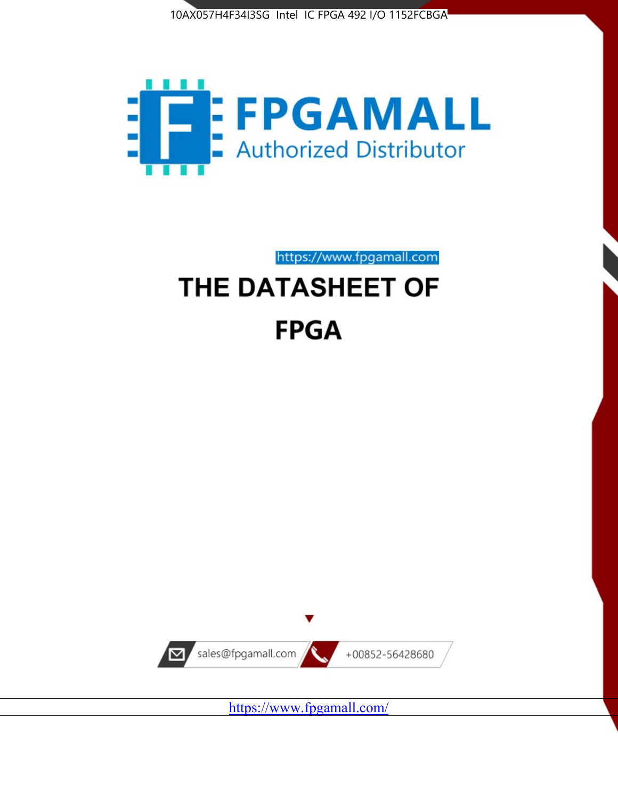



https://www.fpgamall.com

# THE DATASHEET OF **FPGA**



<https://www.fpgamall.com/>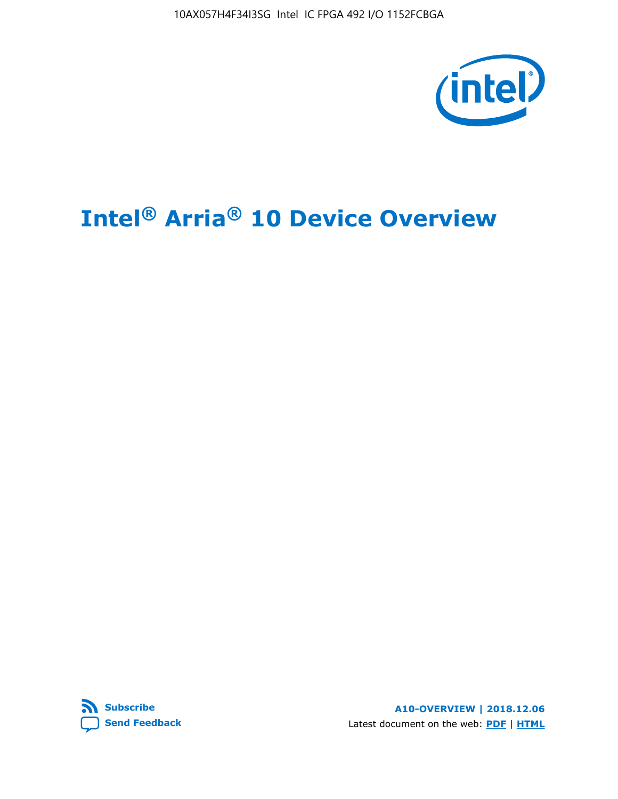10AX057H4F34I3SG Intel IC FPGA 492 I/O 1152FCBGA



# **Intel® Arria® 10 Device Overview**



**A10-OVERVIEW | 2018.12.06** Latest document on the web: **[PDF](https://www.intel.com/content/dam/www/programmable/us/en/pdfs/literature/hb/arria-10/a10_overview.pdf)** | **[HTML](https://www.intel.com/content/www/us/en/programmable/documentation/sam1403480274650.html)**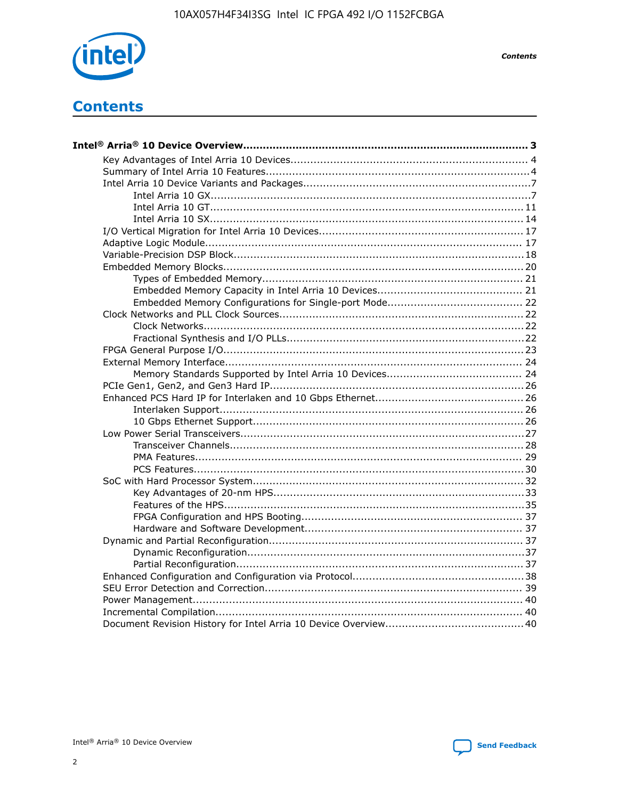

**Contents** 

# **Contents**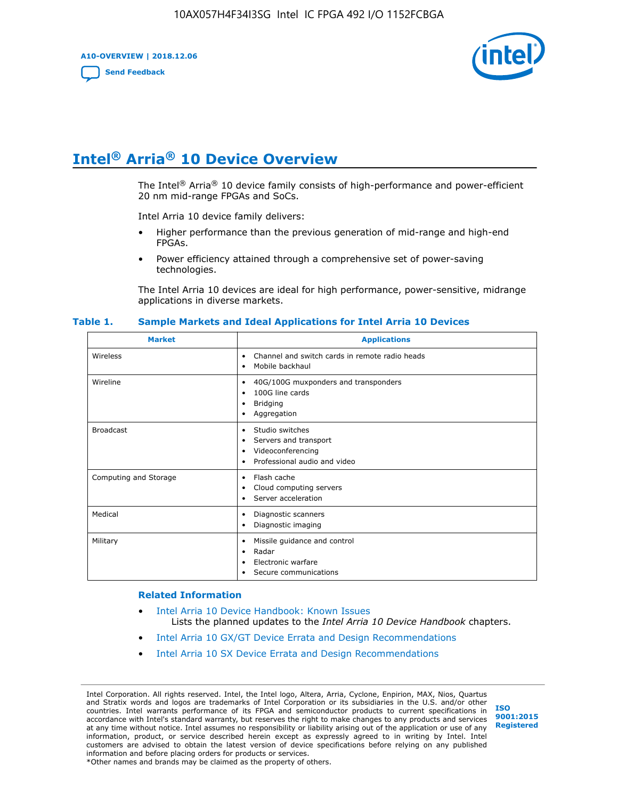**A10-OVERVIEW | 2018.12.06**

**[Send Feedback](mailto:FPGAtechdocfeedback@intel.com?subject=Feedback%20on%20Intel%20Arria%2010%20Device%20Overview%20(A10-OVERVIEW%202018.12.06)&body=We%20appreciate%20your%20feedback.%20In%20your%20comments,%20also%20specify%20the%20page%20number%20or%20paragraph.%20Thank%20you.)**



# **Intel® Arria® 10 Device Overview**

The Intel<sup>®</sup> Arria<sup>®</sup> 10 device family consists of high-performance and power-efficient 20 nm mid-range FPGAs and SoCs.

Intel Arria 10 device family delivers:

- Higher performance than the previous generation of mid-range and high-end FPGAs.
- Power efficiency attained through a comprehensive set of power-saving technologies.

The Intel Arria 10 devices are ideal for high performance, power-sensitive, midrange applications in diverse markets.

| <b>Market</b>         | <b>Applications</b>                                                                                               |
|-----------------------|-------------------------------------------------------------------------------------------------------------------|
| Wireless              | Channel and switch cards in remote radio heads<br>٠<br>Mobile backhaul<br>٠                                       |
| Wireline              | 40G/100G muxponders and transponders<br>٠<br>100G line cards<br>٠<br><b>Bridging</b><br>٠<br>Aggregation<br>٠     |
| <b>Broadcast</b>      | Studio switches<br>٠<br>Servers and transport<br>٠<br>Videoconferencing<br>٠<br>Professional audio and video<br>٠ |
| Computing and Storage | Flash cache<br>٠<br>Cloud computing servers<br>٠<br>Server acceleration<br>٠                                      |
| Medical               | Diagnostic scanners<br>٠<br>Diagnostic imaging<br>٠                                                               |
| Military              | Missile guidance and control<br>٠<br>Radar<br>٠<br>Electronic warfare<br>٠<br>Secure communications<br>٠          |

#### **Table 1. Sample Markets and Ideal Applications for Intel Arria 10 Devices**

#### **Related Information**

- [Intel Arria 10 Device Handbook: Known Issues](http://www.altera.com/support/kdb/solutions/rd07302013_646.html) Lists the planned updates to the *Intel Arria 10 Device Handbook* chapters.
- [Intel Arria 10 GX/GT Device Errata and Design Recommendations](https://www.intel.com/content/www/us/en/programmable/documentation/agz1493851706374.html#yqz1494433888646)
- [Intel Arria 10 SX Device Errata and Design Recommendations](https://www.intel.com/content/www/us/en/programmable/documentation/cru1462832385668.html#cru1462832558642)

Intel Corporation. All rights reserved. Intel, the Intel logo, Altera, Arria, Cyclone, Enpirion, MAX, Nios, Quartus and Stratix words and logos are trademarks of Intel Corporation or its subsidiaries in the U.S. and/or other countries. Intel warrants performance of its FPGA and semiconductor products to current specifications in accordance with Intel's standard warranty, but reserves the right to make changes to any products and services at any time without notice. Intel assumes no responsibility or liability arising out of the application or use of any information, product, or service described herein except as expressly agreed to in writing by Intel. Intel customers are advised to obtain the latest version of device specifications before relying on any published information and before placing orders for products or services. \*Other names and brands may be claimed as the property of others.

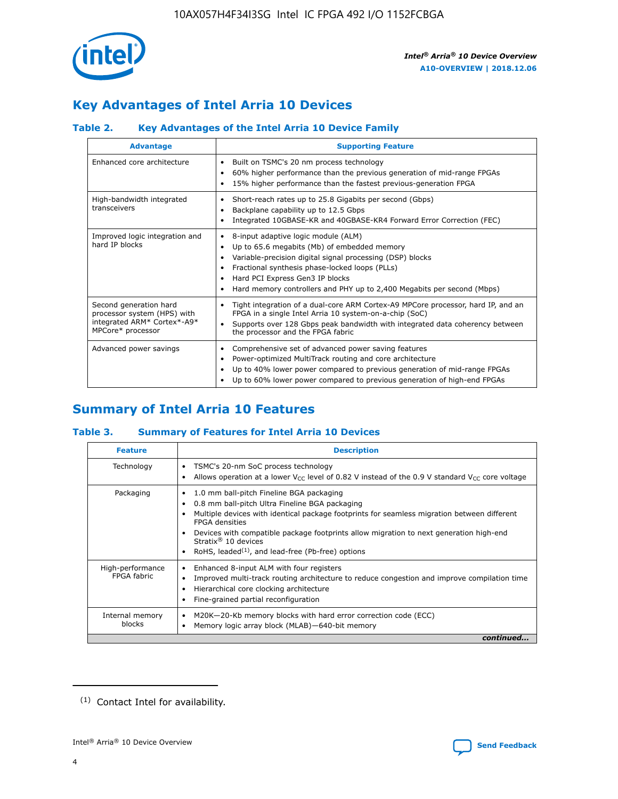

# **Key Advantages of Intel Arria 10 Devices**

# **Table 2. Key Advantages of the Intel Arria 10 Device Family**

| <b>Advantage</b>                                                                                          | <b>Supporting Feature</b>                                                                                                                                                                                                                                                                                                |  |  |  |  |  |  |
|-----------------------------------------------------------------------------------------------------------|--------------------------------------------------------------------------------------------------------------------------------------------------------------------------------------------------------------------------------------------------------------------------------------------------------------------------|--|--|--|--|--|--|
| Enhanced core architecture                                                                                | Built on TSMC's 20 nm process technology<br>٠<br>60% higher performance than the previous generation of mid-range FPGAs<br>٠<br>15% higher performance than the fastest previous-generation FPGA<br>٠                                                                                                                    |  |  |  |  |  |  |
| High-bandwidth integrated<br>transceivers                                                                 | Short-reach rates up to 25.8 Gigabits per second (Gbps)<br>٠<br>Backplane capability up to 12.5 Gbps<br>٠<br>Integrated 10GBASE-KR and 40GBASE-KR4 Forward Error Correction (FEC)<br>٠                                                                                                                                   |  |  |  |  |  |  |
| Improved logic integration and<br>hard IP blocks                                                          | 8-input adaptive logic module (ALM)<br>٠<br>Up to 65.6 megabits (Mb) of embedded memory<br>٠<br>Variable-precision digital signal processing (DSP) blocks<br>Fractional synthesis phase-locked loops (PLLs)<br>Hard PCI Express Gen3 IP blocks<br>Hard memory controllers and PHY up to 2,400 Megabits per second (Mbps) |  |  |  |  |  |  |
| Second generation hard<br>processor system (HPS) with<br>integrated ARM* Cortex*-A9*<br>MPCore* processor | Tight integration of a dual-core ARM Cortex-A9 MPCore processor, hard IP, and an<br>٠<br>FPGA in a single Intel Arria 10 system-on-a-chip (SoC)<br>Supports over 128 Gbps peak bandwidth with integrated data coherency between<br>$\bullet$<br>the processor and the FPGA fabric                                        |  |  |  |  |  |  |
| Advanced power savings                                                                                    | Comprehensive set of advanced power saving features<br>٠<br>Power-optimized MultiTrack routing and core architecture<br>٠<br>Up to 40% lower power compared to previous generation of mid-range FPGAs<br>Up to 60% lower power compared to previous generation of high-end FPGAs                                         |  |  |  |  |  |  |

# **Summary of Intel Arria 10 Features**

## **Table 3. Summary of Features for Intel Arria 10 Devices**

| <b>Feature</b>                  | <b>Description</b>                                                                                                                                                                                                                                                                                                                                                                                 |
|---------------------------------|----------------------------------------------------------------------------------------------------------------------------------------------------------------------------------------------------------------------------------------------------------------------------------------------------------------------------------------------------------------------------------------------------|
| Technology                      | TSMC's 20-nm SoC process technology<br>Allows operation at a lower $V_{\text{CC}}$ level of 0.82 V instead of the 0.9 V standard $V_{\text{CC}}$ core voltage                                                                                                                                                                                                                                      |
| Packaging                       | 1.0 mm ball-pitch Fineline BGA packaging<br>٠<br>0.8 mm ball-pitch Ultra Fineline BGA packaging<br>Multiple devices with identical package footprints for seamless migration between different<br><b>FPGA</b> densities<br>Devices with compatible package footprints allow migration to next generation high-end<br>Stratix $@10$ devices<br>RoHS, leaded $(1)$ , and lead-free (Pb-free) options |
| High-performance<br>FPGA fabric | Enhanced 8-input ALM with four registers<br>Improved multi-track routing architecture to reduce congestion and improve compilation time<br>Hierarchical core clocking architecture<br>Fine-grained partial reconfiguration                                                                                                                                                                         |
| Internal memory<br>blocks       | M20K-20-Kb memory blocks with hard error correction code (ECC)<br>Memory logic array block (MLAB)-640-bit memory                                                                                                                                                                                                                                                                                   |
|                                 | continued                                                                                                                                                                                                                                                                                                                                                                                          |



<sup>(1)</sup> Contact Intel for availability.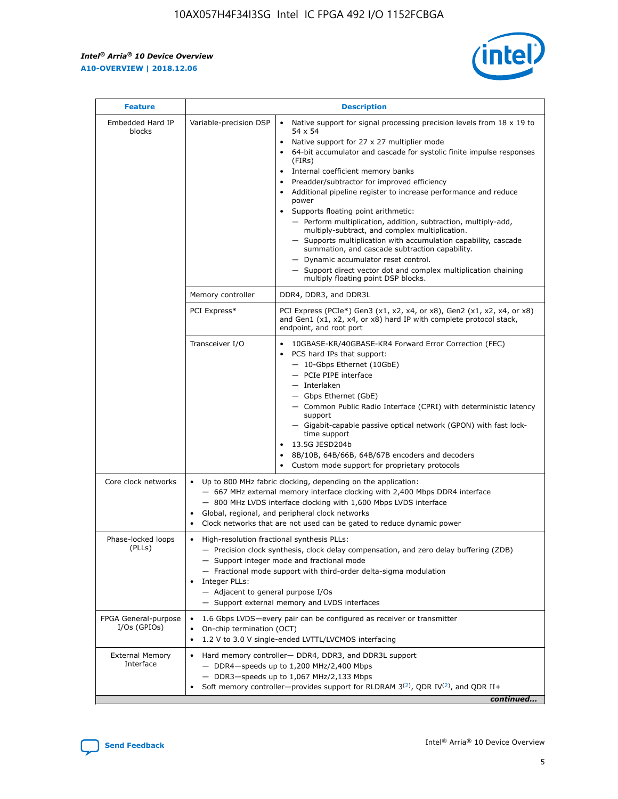r



| <b>Feature</b>                         | <b>Description</b>                                                                                             |                                                                                                                                                                                                                                                                                                                                                                                                                                                                                                                                                                                                                                                                                                                                                                                                                                                                  |  |  |  |  |  |
|----------------------------------------|----------------------------------------------------------------------------------------------------------------|------------------------------------------------------------------------------------------------------------------------------------------------------------------------------------------------------------------------------------------------------------------------------------------------------------------------------------------------------------------------------------------------------------------------------------------------------------------------------------------------------------------------------------------------------------------------------------------------------------------------------------------------------------------------------------------------------------------------------------------------------------------------------------------------------------------------------------------------------------------|--|--|--|--|--|
| Embedded Hard IP<br>blocks             | Variable-precision DSP                                                                                         | Native support for signal processing precision levels from $18 \times 19$ to<br>$\bullet$<br>54 x 54<br>Native support for 27 x 27 multiplier mode<br>$\bullet$<br>64-bit accumulator and cascade for systolic finite impulse responses<br>(FIRs)<br>Internal coefficient memory banks<br>$\bullet$<br>Preadder/subtractor for improved efficiency<br>Additional pipeline register to increase performance and reduce<br>power<br>Supports floating point arithmetic:<br>- Perform multiplication, addition, subtraction, multiply-add,<br>multiply-subtract, and complex multiplication.<br>- Supports multiplication with accumulation capability, cascade<br>summation, and cascade subtraction capability.<br>- Dynamic accumulator reset control.<br>- Support direct vector dot and complex multiplication chaining<br>multiply floating point DSP blocks. |  |  |  |  |  |
|                                        | Memory controller                                                                                              | DDR4, DDR3, and DDR3L                                                                                                                                                                                                                                                                                                                                                                                                                                                                                                                                                                                                                                                                                                                                                                                                                                            |  |  |  |  |  |
|                                        | PCI Express*                                                                                                   | PCI Express (PCIe*) Gen3 (x1, x2, x4, or x8), Gen2 (x1, x2, x4, or x8)<br>and Gen1 (x1, x2, x4, or x8) hard IP with complete protocol stack,<br>endpoint, and root port                                                                                                                                                                                                                                                                                                                                                                                                                                                                                                                                                                                                                                                                                          |  |  |  |  |  |
|                                        | Transceiver I/O                                                                                                | 10GBASE-KR/40GBASE-KR4 Forward Error Correction (FEC)<br>PCS hard IPs that support:<br>- 10-Gbps Ethernet (10GbE)<br>- PCIe PIPE interface<br>- Interlaken<br>- Gbps Ethernet (GbE)<br>- Common Public Radio Interface (CPRI) with deterministic latency<br>support<br>- Gigabit-capable passive optical network (GPON) with fast lock-<br>time support<br>13.5G JESD204b<br>$\bullet$<br>8B/10B, 64B/66B, 64B/67B encoders and decoders<br>Custom mode support for proprietary protocols                                                                                                                                                                                                                                                                                                                                                                        |  |  |  |  |  |
| Core clock networks                    | $\bullet$                                                                                                      | Up to 800 MHz fabric clocking, depending on the application:<br>- 667 MHz external memory interface clocking with 2,400 Mbps DDR4 interface<br>- 800 MHz LVDS interface clocking with 1,600 Mbps LVDS interface<br>Global, regional, and peripheral clock networks<br>Clock networks that are not used can be gated to reduce dynamic power                                                                                                                                                                                                                                                                                                                                                                                                                                                                                                                      |  |  |  |  |  |
| Phase-locked loops<br>(PLLs)           | High-resolution fractional synthesis PLLs:<br>$\bullet$<br>Integer PLLs:<br>- Adjacent to general purpose I/Os | - Precision clock synthesis, clock delay compensation, and zero delay buffering (ZDB)<br>- Support integer mode and fractional mode<br>- Fractional mode support with third-order delta-sigma modulation<br>- Support external memory and LVDS interfaces                                                                                                                                                                                                                                                                                                                                                                                                                                                                                                                                                                                                        |  |  |  |  |  |
| FPGA General-purpose<br>$I/Os$ (GPIOs) | On-chip termination (OCT)<br>٠<br>$\bullet$                                                                    | 1.6 Gbps LVDS-every pair can be configured as receiver or transmitter<br>1.2 V to 3.0 V single-ended LVTTL/LVCMOS interfacing                                                                                                                                                                                                                                                                                                                                                                                                                                                                                                                                                                                                                                                                                                                                    |  |  |  |  |  |
| <b>External Memory</b><br>Interface    | $\bullet$                                                                                                      | Hard memory controller- DDR4, DDR3, and DDR3L support<br>$-$ DDR4-speeds up to 1,200 MHz/2,400 Mbps<br>- DDR3-speeds up to 1,067 MHz/2,133 Mbps<br>Soft memory controller—provides support for RLDRAM $3^{(2)}$ , QDR IV $^{(2)}$ , and QDR II+<br>continued                                                                                                                                                                                                                                                                                                                                                                                                                                                                                                                                                                                                     |  |  |  |  |  |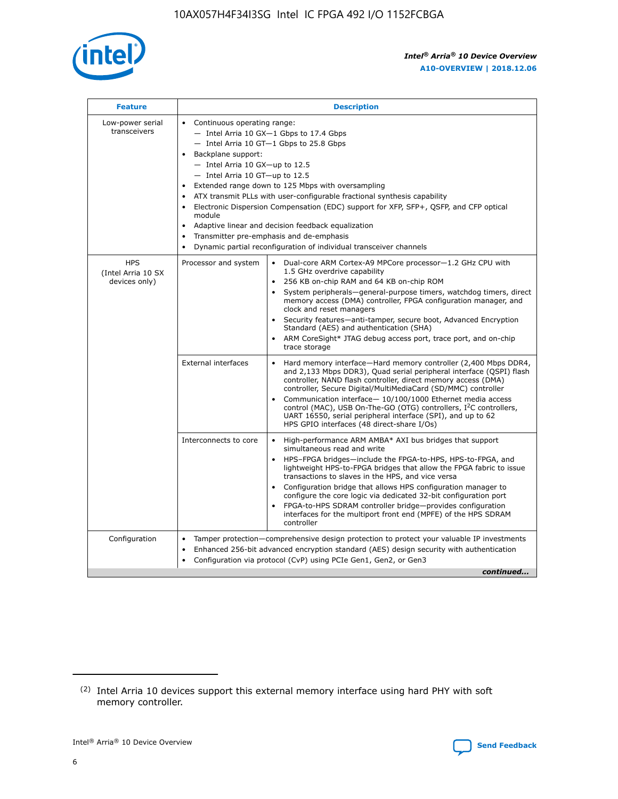

| <b>Feature</b>                                    | <b>Description</b>                                                                                                                                                                                                                                                                                                                                                                                                                                                                                                                                                                                                                             |
|---------------------------------------------------|------------------------------------------------------------------------------------------------------------------------------------------------------------------------------------------------------------------------------------------------------------------------------------------------------------------------------------------------------------------------------------------------------------------------------------------------------------------------------------------------------------------------------------------------------------------------------------------------------------------------------------------------|
| Low-power serial<br>transceivers                  | • Continuous operating range:<br>- Intel Arria 10 GX-1 Gbps to 17.4 Gbps<br>- Intel Arria 10 GT-1 Gbps to 25.8 Gbps<br>Backplane support:<br>$-$ Intel Arria 10 GX-up to 12.5<br>$-$ Intel Arria 10 GT-up to 12.5<br>Extended range down to 125 Mbps with oversampling<br>ATX transmit PLLs with user-configurable fractional synthesis capability<br>• Electronic Dispersion Compensation (EDC) support for XFP, SFP+, QSFP, and CFP optical<br>module<br>• Adaptive linear and decision feedback equalization<br>Transmitter pre-emphasis and de-emphasis<br>$\bullet$<br>Dynamic partial reconfiguration of individual transceiver channels |
| <b>HPS</b><br>(Intel Arria 10 SX<br>devices only) | Processor and system<br>Dual-core ARM Cortex-A9 MPCore processor-1.2 GHz CPU with<br>$\bullet$<br>1.5 GHz overdrive capability<br>256 KB on-chip RAM and 64 KB on-chip ROM<br>$\bullet$<br>System peripherals-general-purpose timers, watchdog timers, direct<br>memory access (DMA) controller, FPGA configuration manager, and<br>clock and reset managers<br>• Security features—anti-tamper, secure boot, Advanced Encryption<br>Standard (AES) and authentication (SHA)<br>ARM CoreSight* JTAG debug access port, trace port, and on-chip<br>trace storage                                                                                |
|                                                   | <b>External interfaces</b><br>Hard memory interface—Hard memory controller (2,400 Mbps DDR4,<br>$\bullet$<br>and 2,133 Mbps DDR3), Quad serial peripheral interface (QSPI) flash<br>controller, NAND flash controller, direct memory access (DMA)<br>controller, Secure Digital/MultiMediaCard (SD/MMC) controller<br>Communication interface-10/100/1000 Ethernet media access<br>control (MAC), USB On-The-GO (OTG) controllers, I <sup>2</sup> C controllers,<br>UART 16550, serial peripheral interface (SPI), and up to 62<br>HPS GPIO interfaces (48 direct-share I/Os)                                                                  |
|                                                   | High-performance ARM AMBA* AXI bus bridges that support<br>Interconnects to core<br>$\bullet$<br>simultaneous read and write<br>HPS-FPGA bridges—include the FPGA-to-HPS, HPS-to-FPGA, and<br>$\bullet$<br>lightweight HPS-to-FPGA bridges that allow the FPGA fabric to issue<br>transactions to slaves in the HPS, and vice versa<br>Configuration bridge that allows HPS configuration manager to<br>configure the core logic via dedicated 32-bit configuration port<br>FPGA-to-HPS SDRAM controller bridge-provides configuration<br>interfaces for the multiport front end (MPFE) of the HPS SDRAM<br>controller                         |
| Configuration                                     | Tamper protection—comprehensive design protection to protect your valuable IP investments<br>Enhanced 256-bit advanced encryption standard (AES) design security with authentication<br>$\bullet$<br>Configuration via protocol (CvP) using PCIe Gen1, Gen2, or Gen3<br>continued                                                                                                                                                                                                                                                                                                                                                              |

<sup>(2)</sup> Intel Arria 10 devices support this external memory interface using hard PHY with soft memory controller.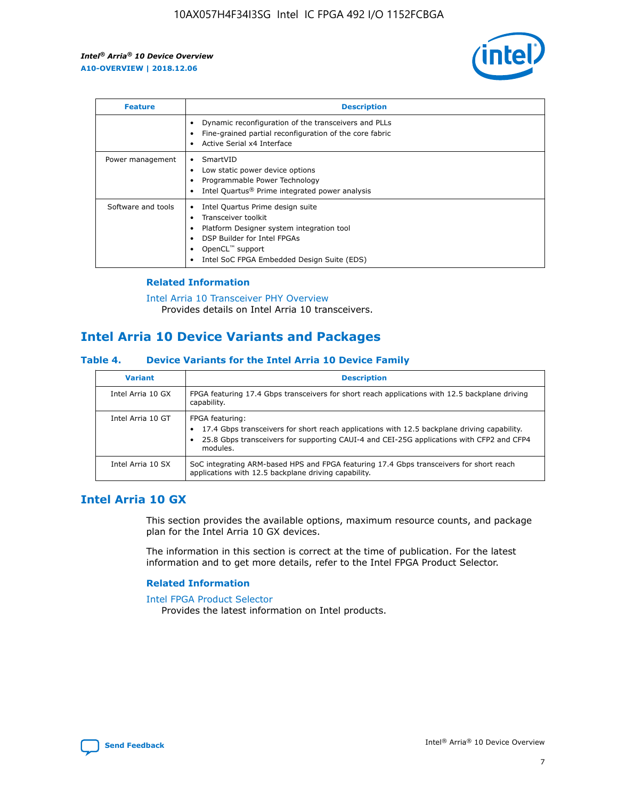

| <b>Feature</b>     | <b>Description</b>                                                                                                                                                                                               |
|--------------------|------------------------------------------------------------------------------------------------------------------------------------------------------------------------------------------------------------------|
|                    | Dynamic reconfiguration of the transceivers and PLLs<br>Fine-grained partial reconfiguration of the core fabric<br>Active Serial x4 Interface<br>$\bullet$                                                       |
| Power management   | SmartVID<br>Low static power device options<br>Programmable Power Technology<br>Intel Quartus <sup>®</sup> Prime integrated power analysis                                                                       |
| Software and tools | Intel Quartus Prime design suite<br>Transceiver toolkit<br>Platform Designer system integration tool<br>DSP Builder for Intel FPGAs<br>OpenCL <sup>™</sup> support<br>Intel SoC FPGA Embedded Design Suite (EDS) |

## **Related Information**

[Intel Arria 10 Transceiver PHY Overview](https://www.intel.com/content/www/us/en/programmable/documentation/nik1398707230472.html#nik1398706768037) Provides details on Intel Arria 10 transceivers.

# **Intel Arria 10 Device Variants and Packages**

#### **Table 4. Device Variants for the Intel Arria 10 Device Family**

| <b>Variant</b>    | <b>Description</b>                                                                                                                                                                                                     |
|-------------------|------------------------------------------------------------------------------------------------------------------------------------------------------------------------------------------------------------------------|
| Intel Arria 10 GX | FPGA featuring 17.4 Gbps transceivers for short reach applications with 12.5 backplane driving<br>capability.                                                                                                          |
| Intel Arria 10 GT | FPGA featuring:<br>17.4 Gbps transceivers for short reach applications with 12.5 backplane driving capability.<br>25.8 Gbps transceivers for supporting CAUI-4 and CEI-25G applications with CFP2 and CFP4<br>modules. |
| Intel Arria 10 SX | SoC integrating ARM-based HPS and FPGA featuring 17.4 Gbps transceivers for short reach<br>applications with 12.5 backplane driving capability.                                                                        |

# **Intel Arria 10 GX**

This section provides the available options, maximum resource counts, and package plan for the Intel Arria 10 GX devices.

The information in this section is correct at the time of publication. For the latest information and to get more details, refer to the Intel FPGA Product Selector.

#### **Related Information**

#### [Intel FPGA Product Selector](http://www.altera.com/products/selector/psg-selector.html) Provides the latest information on Intel products.

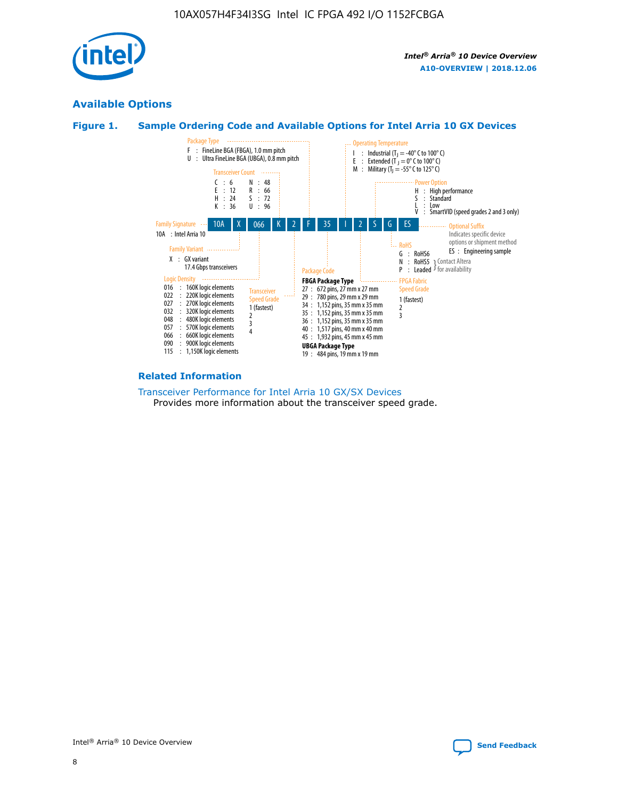

# **Available Options**





#### **Related Information**

[Transceiver Performance for Intel Arria 10 GX/SX Devices](https://www.intel.com/content/www/us/en/programmable/documentation/mcn1413182292568.html#mcn1413213965502) Provides more information about the transceiver speed grade.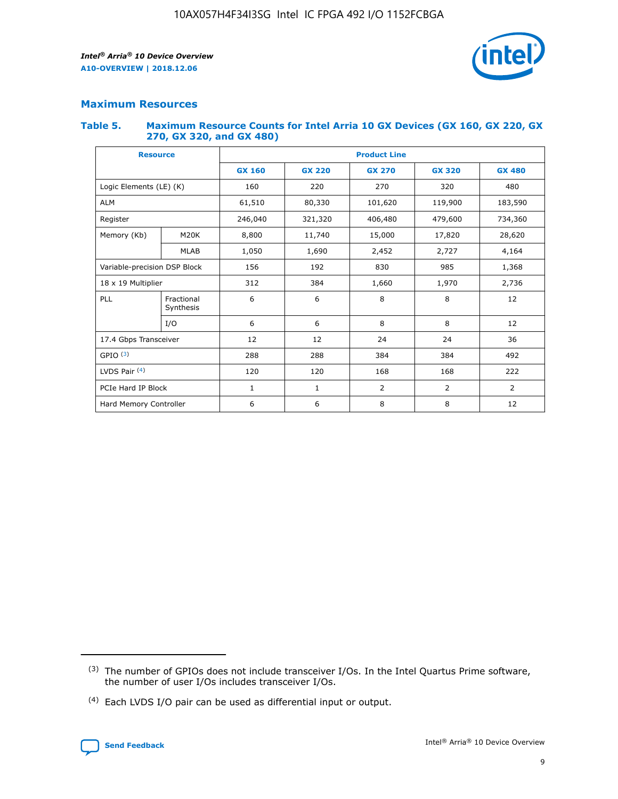

# **Maximum Resources**

#### **Table 5. Maximum Resource Counts for Intel Arria 10 GX Devices (GX 160, GX 220, GX 270, GX 320, and GX 480)**

| <b>Resource</b>         |                                                          | <b>Product Line</b> |                                                 |            |                |                |  |  |  |
|-------------------------|----------------------------------------------------------|---------------------|-------------------------------------------------|------------|----------------|----------------|--|--|--|
|                         |                                                          | <b>GX 160</b>       | <b>GX 220</b><br><b>GX 270</b><br><b>GX 320</b> |            |                | <b>GX 480</b>  |  |  |  |
| Logic Elements (LE) (K) |                                                          | 160                 | 220                                             | 270        | 320            | 480            |  |  |  |
| <b>ALM</b>              |                                                          | 61,510              | 80,330                                          | 101,620    | 119,900        | 183,590        |  |  |  |
| Register                |                                                          | 246,040             | 321,320                                         | 406,480    | 479,600        | 734,360        |  |  |  |
| Memory (Kb)             | M <sub>20</sub> K                                        | 8,800               | 11,740                                          | 15,000     | 17,820         | 28,620         |  |  |  |
| <b>MLAB</b>             |                                                          | 1,050               | 1,690                                           | 2,452      | 2,727          | 4,164          |  |  |  |
|                         | Variable-precision DSP Block<br>156<br>192<br>830<br>985 |                     |                                                 |            | 1,368          |                |  |  |  |
| 18 x 19 Multiplier      |                                                          | 312                 | 384                                             | 1,660      | 1,970          | 2,736          |  |  |  |
| PLL                     | Fractional<br>Synthesis                                  | 6                   | 6                                               | 8          | 8              | 12             |  |  |  |
|                         | I/O                                                      | 6                   | 6                                               | 8          | 8              | 12             |  |  |  |
| 17.4 Gbps Transceiver   |                                                          | 12                  | 12                                              | 24         | 24             |                |  |  |  |
| GPIO <sup>(3)</sup>     |                                                          | 288                 | 288                                             | 384<br>384 |                | 492            |  |  |  |
| LVDS Pair $(4)$         |                                                          | 120                 | 120                                             | 168        | 168            | 222            |  |  |  |
| PCIe Hard IP Block      |                                                          | 1                   | 1                                               | 2          | $\overline{2}$ | $\overline{2}$ |  |  |  |
| Hard Memory Controller  |                                                          | 6                   | 6                                               | 8          | 8              | 12             |  |  |  |

<sup>(4)</sup> Each LVDS I/O pair can be used as differential input or output.



<sup>(3)</sup> The number of GPIOs does not include transceiver I/Os. In the Intel Quartus Prime software, the number of user I/Os includes transceiver I/Os.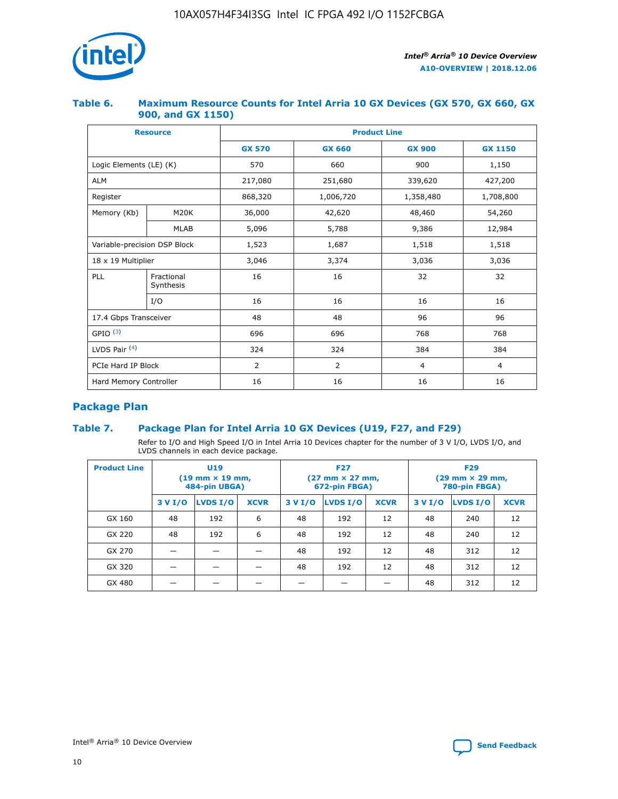

## **Table 6. Maximum Resource Counts for Intel Arria 10 GX Devices (GX 570, GX 660, GX 900, and GX 1150)**

|                              | <b>Resource</b>         | <b>Product Line</b> |                |                |                |  |  |  |
|------------------------------|-------------------------|---------------------|----------------|----------------|----------------|--|--|--|
|                              |                         | <b>GX 570</b>       | <b>GX 660</b>  |                | <b>GX 1150</b> |  |  |  |
| Logic Elements (LE) (K)      |                         | 570                 | 660            | 900            | 1,150          |  |  |  |
| <b>ALM</b>                   |                         | 217,080             | 251,680        | 339,620        | 427,200        |  |  |  |
| Register                     |                         | 868,320             | 1,006,720      | 1,358,480      | 1,708,800      |  |  |  |
| Memory (Kb)                  | <b>M20K</b>             | 36,000              | 42,620         | 48,460         | 54,260         |  |  |  |
|                              | <b>MLAB</b>             | 5,096               | 5,788<br>9,386 |                | 12,984         |  |  |  |
| Variable-precision DSP Block |                         | 1,523               | 1,687          | 1,518          | 1,518          |  |  |  |
| $18 \times 19$ Multiplier    |                         | 3,046               | 3,374          | 3,036          | 3,036          |  |  |  |
| PLL                          | Fractional<br>Synthesis | 16                  | 16             | 32             | 32             |  |  |  |
|                              | I/O                     | 16                  | 16             | 16             | 16             |  |  |  |
| 17.4 Gbps Transceiver        |                         | 48                  | 48<br>96       |                | 96             |  |  |  |
| GPIO <sup>(3)</sup>          |                         | 696                 | 696            | 768            | 768            |  |  |  |
| LVDS Pair $(4)$              |                         | 324                 | 324            |                | 384            |  |  |  |
| PCIe Hard IP Block           |                         | 2                   | $\overline{2}$ | $\overline{4}$ | $\overline{4}$ |  |  |  |
| Hard Memory Controller       |                         | 16                  | 16             | 16             | 16             |  |  |  |

# **Package Plan**

# **Table 7. Package Plan for Intel Arria 10 GX Devices (U19, F27, and F29)**

Refer to I/O and High Speed I/O in Intel Arria 10 Devices chapter for the number of 3 V I/O, LVDS I/O, and LVDS channels in each device package.

| <b>Product Line</b> | U <sub>19</sub><br>$(19 \text{ mm} \times 19 \text{ mm})$<br>484-pin UBGA) |          |             |         | <b>F27</b><br>(27 mm × 27 mm,<br>672-pin FBGA) |             | <b>F29</b><br>(29 mm × 29 mm,<br>780-pin FBGA) |          |             |  |
|---------------------|----------------------------------------------------------------------------|----------|-------------|---------|------------------------------------------------|-------------|------------------------------------------------|----------|-------------|--|
|                     | 3 V I/O                                                                    | LVDS I/O | <b>XCVR</b> | 3 V I/O | <b>LVDS I/O</b>                                | <b>XCVR</b> | 3 V I/O                                        | LVDS I/O | <b>XCVR</b> |  |
| GX 160              | 48                                                                         | 192      | 6           | 48      | 192                                            | 12          | 48                                             | 240      | 12          |  |
| GX 220              | 48                                                                         | 192      | 6           | 48      | 192                                            | 12          | 48                                             | 240      | 12          |  |
| GX 270              |                                                                            |          |             | 48      | 192                                            | 12          | 48                                             | 312      | 12          |  |
| GX 320              |                                                                            |          |             | 48      | 192                                            | 12          | 48                                             | 312      | 12          |  |
| GX 480              |                                                                            |          |             |         |                                                |             | 48                                             | 312      | 12          |  |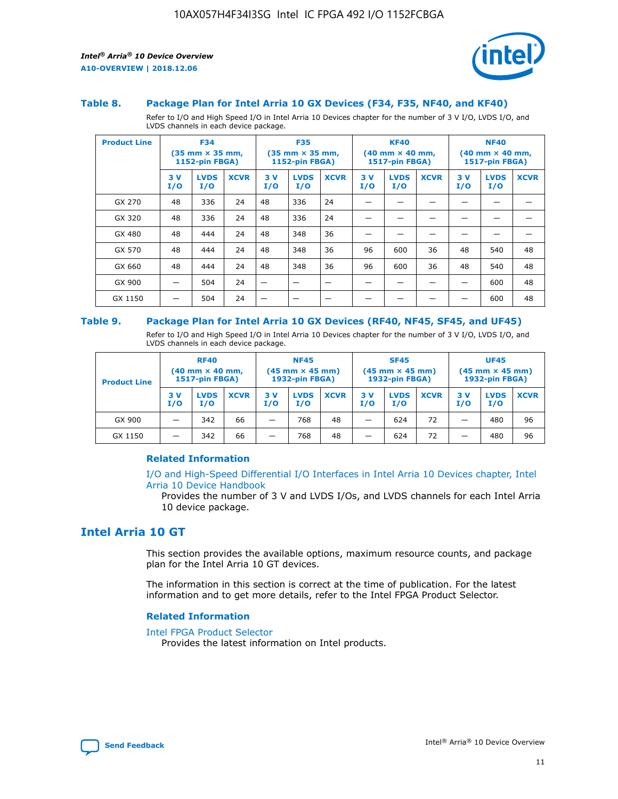

#### **Table 8. Package Plan for Intel Arria 10 GX Devices (F34, F35, NF40, and KF40)**

Refer to I/O and High Speed I/O in Intel Arria 10 Devices chapter for the number of 3 V I/O, LVDS I/O, and LVDS channels in each device package.

| <b>Product Line</b> | <b>F34</b><br>$(35 \text{ mm} \times 35 \text{ mm})$<br>1152-pin FBGA) |                    | <b>F35</b><br>$(35 \text{ mm} \times 35 \text{ mm})$<br><b>1152-pin FBGA)</b> |           | <b>KF40</b><br>$(40$ mm $\times$ 40 mm,<br>1517-pin FBGA) |             |           | <b>NF40</b><br>$(40$ mm $\times$ 40 mm,<br><b>1517-pin FBGA)</b> |             |            |                    |             |
|---------------------|------------------------------------------------------------------------|--------------------|-------------------------------------------------------------------------------|-----------|-----------------------------------------------------------|-------------|-----------|------------------------------------------------------------------|-------------|------------|--------------------|-------------|
|                     | 3V<br>I/O                                                              | <b>LVDS</b><br>I/O | <b>XCVR</b>                                                                   | 3V<br>I/O | <b>LVDS</b><br>I/O                                        | <b>XCVR</b> | 3V<br>I/O | <b>LVDS</b><br>I/O                                               | <b>XCVR</b> | 3 V<br>I/O | <b>LVDS</b><br>I/O | <b>XCVR</b> |
| GX 270              | 48                                                                     | 336                | 24                                                                            | 48        | 336                                                       | 24          |           |                                                                  |             |            |                    |             |
| GX 320              | 48                                                                     | 336                | 24                                                                            | 48        | 336                                                       | 24          |           |                                                                  |             |            |                    |             |
| GX 480              | 48                                                                     | 444                | 24                                                                            | 48        | 348                                                       | 36          |           |                                                                  |             |            |                    |             |
| GX 570              | 48                                                                     | 444                | 24                                                                            | 48        | 348                                                       | 36          | 96        | 600                                                              | 36          | 48         | 540                | 48          |
| GX 660              | 48                                                                     | 444                | 24                                                                            | 48        | 348                                                       | 36          | 96        | 600                                                              | 36          | 48         | 540                | 48          |
| GX 900              |                                                                        | 504                | 24                                                                            | -         |                                                           |             |           |                                                                  |             |            | 600                | 48          |
| GX 1150             |                                                                        | 504                | 24                                                                            |           |                                                           |             |           |                                                                  |             |            | 600                | 48          |

#### **Table 9. Package Plan for Intel Arria 10 GX Devices (RF40, NF45, SF45, and UF45)**

Refer to I/O and High Speed I/O in Intel Arria 10 Devices chapter for the number of 3 V I/O, LVDS I/O, and LVDS channels in each device package.

| <b>Product Line</b> | <b>RF40</b><br>$(40$ mm $\times$ 40 mm,<br>1517-pin FBGA) |                    | <b>NF45</b><br>$(45 \text{ mm} \times 45 \text{ mm})$<br><b>1932-pin FBGA)</b> |            |                    | <b>SF45</b><br>$(45 \text{ mm} \times 45 \text{ mm})$<br><b>1932-pin FBGA)</b> |            |                    | <b>UF45</b><br>$(45 \text{ mm} \times 45 \text{ mm})$<br><b>1932-pin FBGA)</b> |           |                    |             |
|---------------------|-----------------------------------------------------------|--------------------|--------------------------------------------------------------------------------|------------|--------------------|--------------------------------------------------------------------------------|------------|--------------------|--------------------------------------------------------------------------------|-----------|--------------------|-------------|
|                     | 3V<br>I/O                                                 | <b>LVDS</b><br>I/O | <b>XCVR</b>                                                                    | 3 V<br>I/O | <b>LVDS</b><br>I/O | <b>XCVR</b>                                                                    | 3 V<br>I/O | <b>LVDS</b><br>I/O | <b>XCVR</b>                                                                    | 3V<br>I/O | <b>LVDS</b><br>I/O | <b>XCVR</b> |
| GX 900              |                                                           | 342                | 66                                                                             | _          | 768                | 48                                                                             |            | 624                | 72                                                                             |           | 480                | 96          |
| GX 1150             |                                                           | 342                | 66                                                                             | _          | 768                | 48                                                                             |            | 624                | 72                                                                             |           | 480                | 96          |

#### **Related Information**

[I/O and High-Speed Differential I/O Interfaces in Intel Arria 10 Devices chapter, Intel](https://www.intel.com/content/www/us/en/programmable/documentation/sam1403482614086.html#sam1403482030321) [Arria 10 Device Handbook](https://www.intel.com/content/www/us/en/programmable/documentation/sam1403482614086.html#sam1403482030321)

Provides the number of 3 V and LVDS I/Os, and LVDS channels for each Intel Arria 10 device package.

# **Intel Arria 10 GT**

This section provides the available options, maximum resource counts, and package plan for the Intel Arria 10 GT devices.

The information in this section is correct at the time of publication. For the latest information and to get more details, refer to the Intel FPGA Product Selector.

#### **Related Information**

#### [Intel FPGA Product Selector](http://www.altera.com/products/selector/psg-selector.html)

Provides the latest information on Intel products.

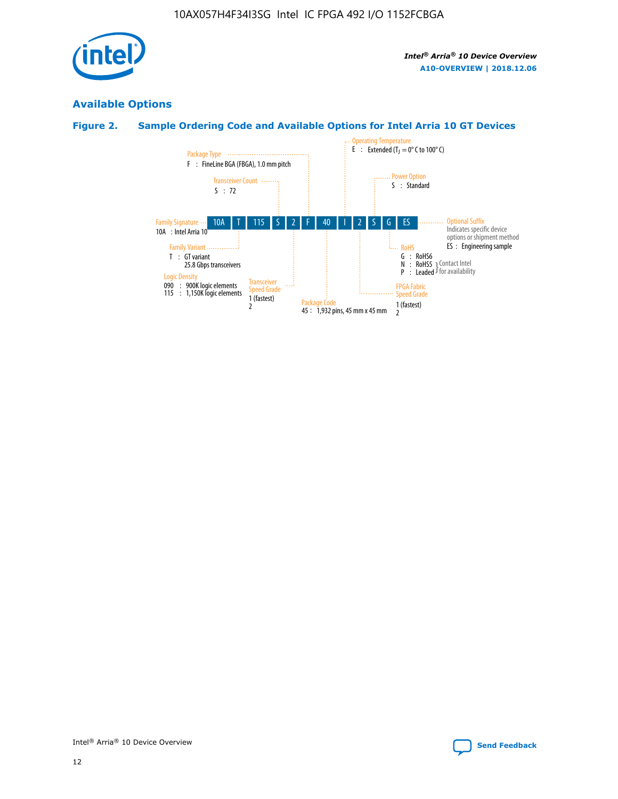

# **Available Options**

# **Figure 2. Sample Ordering Code and Available Options for Intel Arria 10 GT Devices**

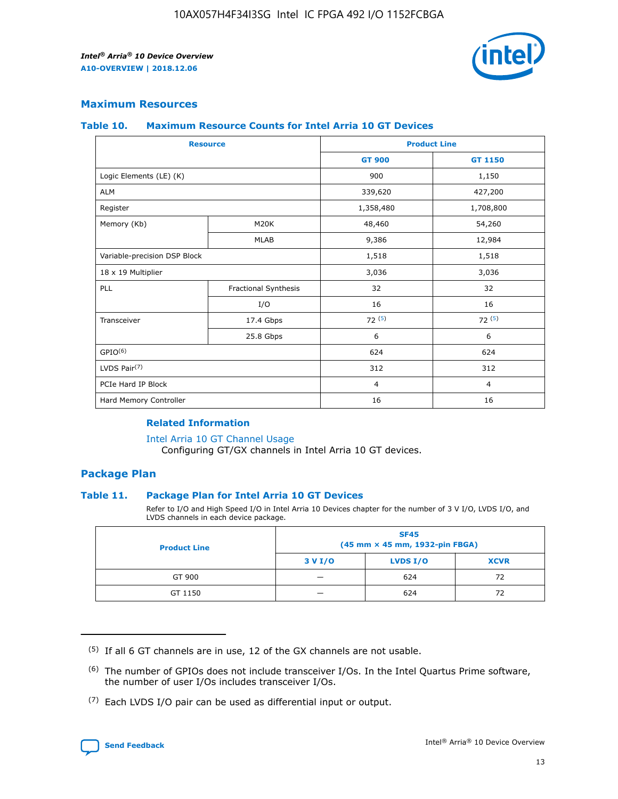

## **Maximum Resources**

#### **Table 10. Maximum Resource Counts for Intel Arria 10 GT Devices**

|                              | <b>Resource</b>      | <b>Product Line</b> |                |  |
|------------------------------|----------------------|---------------------|----------------|--|
|                              |                      | <b>GT 900</b>       | GT 1150        |  |
| Logic Elements (LE) (K)      |                      | 900                 | 1,150          |  |
| <b>ALM</b>                   |                      | 339,620             | 427,200        |  |
| Register                     |                      | 1,358,480           | 1,708,800      |  |
| Memory (Kb)                  | M20K                 | 48,460              | 54,260         |  |
|                              | <b>MLAB</b>          | 9,386               | 12,984         |  |
| Variable-precision DSP Block |                      | 1,518               | 1,518          |  |
| 18 x 19 Multiplier           |                      | 3,036               | 3,036          |  |
| PLL                          | Fractional Synthesis | 32                  | 32             |  |
|                              | I/O                  | 16                  | 16             |  |
| Transceiver                  | 17.4 Gbps            | 72(5)               | 72(5)          |  |
|                              | 25.8 Gbps            | 6                   | 6              |  |
| GPIO <sup>(6)</sup>          |                      | 624                 | 624            |  |
| LVDS Pair $(7)$              |                      | 312                 | 312            |  |
| PCIe Hard IP Block           |                      | $\overline{4}$      | $\overline{4}$ |  |
| Hard Memory Controller       |                      | 16                  | 16             |  |

#### **Related Information**

#### [Intel Arria 10 GT Channel Usage](https://www.intel.com/content/www/us/en/programmable/documentation/nik1398707230472.html#nik1398707008178)

Configuring GT/GX channels in Intel Arria 10 GT devices.

## **Package Plan**

#### **Table 11. Package Plan for Intel Arria 10 GT Devices**

Refer to I/O and High Speed I/O in Intel Arria 10 Devices chapter for the number of 3 V I/O, LVDS I/O, and LVDS channels in each device package.

| <b>Product Line</b> | <b>SF45</b><br>(45 mm × 45 mm, 1932-pin FBGA) |                 |             |  |  |  |
|---------------------|-----------------------------------------------|-----------------|-------------|--|--|--|
|                     | 3 V I/O                                       | <b>LVDS I/O</b> | <b>XCVR</b> |  |  |  |
| GT 900              |                                               | 624             | 72          |  |  |  |
| GT 1150             |                                               | 624             | 72          |  |  |  |

<sup>(7)</sup> Each LVDS I/O pair can be used as differential input or output.



 $(5)$  If all 6 GT channels are in use, 12 of the GX channels are not usable.

<sup>(6)</sup> The number of GPIOs does not include transceiver I/Os. In the Intel Quartus Prime software, the number of user I/Os includes transceiver I/Os.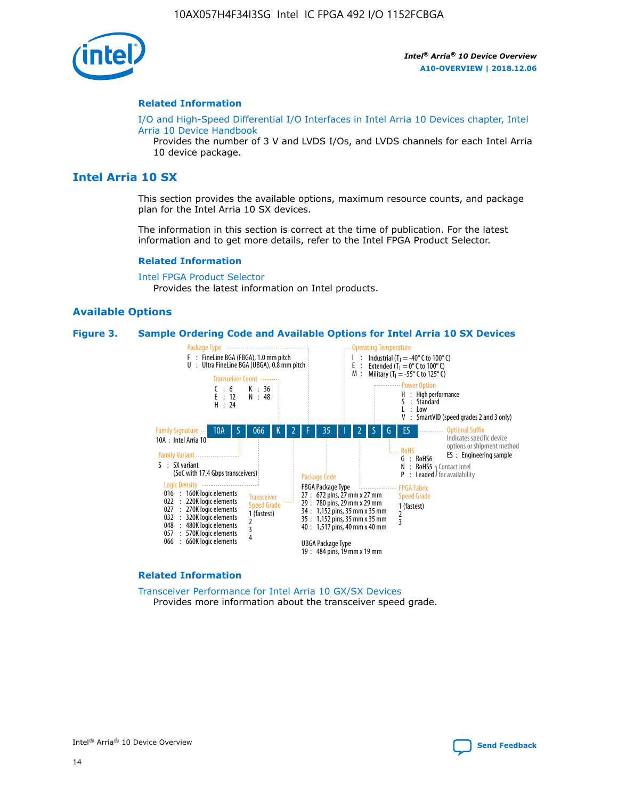

#### **Related Information**

[I/O and High-Speed Differential I/O Interfaces in Intel Arria 10 Devices chapter, Intel](https://www.intel.com/content/www/us/en/programmable/documentation/sam1403482614086.html#sam1403482030321) [Arria 10 Device Handbook](https://www.intel.com/content/www/us/en/programmable/documentation/sam1403482614086.html#sam1403482030321)

Provides the number of 3 V and LVDS I/Os, and LVDS channels for each Intel Arria 10 device package.

# **Intel Arria 10 SX**

This section provides the available options, maximum resource counts, and package plan for the Intel Arria 10 SX devices.

The information in this section is correct at the time of publication. For the latest information and to get more details, refer to the Intel FPGA Product Selector.

#### **Related Information**

[Intel FPGA Product Selector](http://www.altera.com/products/selector/psg-selector.html) Provides the latest information on Intel products.

#### **Available Options**

#### **Figure 3. Sample Ordering Code and Available Options for Intel Arria 10 SX Devices**



#### **Related Information**

[Transceiver Performance for Intel Arria 10 GX/SX Devices](https://www.intel.com/content/www/us/en/programmable/documentation/mcn1413182292568.html#mcn1413213965502) Provides more information about the transceiver speed grade.

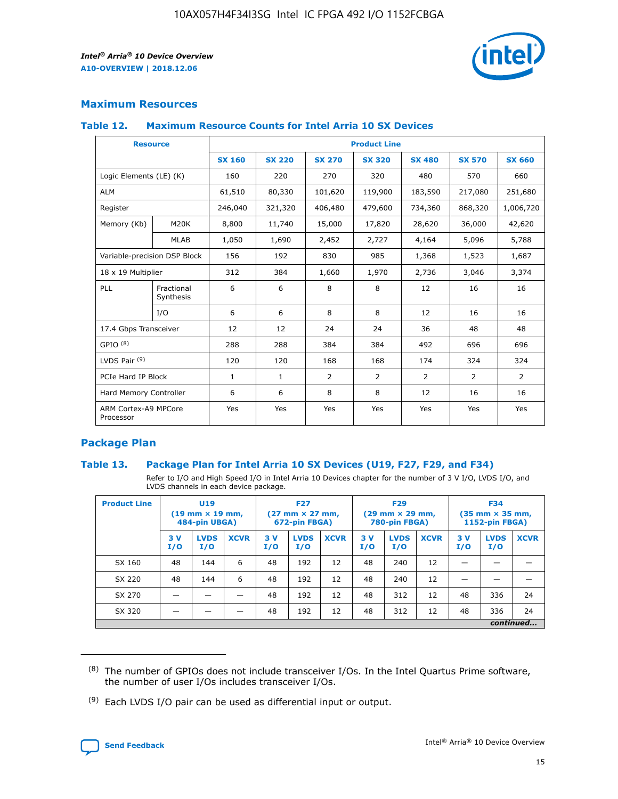

# **Maximum Resources**

#### **Table 12. Maximum Resource Counts for Intel Arria 10 SX Devices**

| <b>Resource</b>                   |                         | <b>Product Line</b> |               |                |                |                |                |                |  |  |  |
|-----------------------------------|-------------------------|---------------------|---------------|----------------|----------------|----------------|----------------|----------------|--|--|--|
|                                   |                         | <b>SX 160</b>       | <b>SX 220</b> | <b>SX 270</b>  | <b>SX 320</b>  | <b>SX 480</b>  | <b>SX 570</b>  | <b>SX 660</b>  |  |  |  |
| Logic Elements (LE) (K)           |                         | 160                 | 220           | 270            | 320            | 480            | 570            | 660            |  |  |  |
| <b>ALM</b>                        |                         | 61,510              | 80,330        | 101,620        | 119,900        | 183,590        | 217,080        | 251,680        |  |  |  |
| Register                          |                         | 246,040             | 321,320       | 406,480        | 479,600        | 734,360        | 868,320        | 1,006,720      |  |  |  |
| Memory (Kb)                       | M <sub>20</sub> K       | 8,800               | 11,740        | 15,000         | 17,820         | 28,620         | 36,000         | 42,620         |  |  |  |
|                                   | <b>MLAB</b>             | 1,050               | 1,690         | 2,452          | 2,727          | 4,164          | 5,096          | 5,788          |  |  |  |
| Variable-precision DSP Block      |                         | 156                 | 192           | 830            | 985            | 1,368          | 1,523          | 1,687          |  |  |  |
| 18 x 19 Multiplier                |                         | 312                 | 384           | 1,660          | 1,970          | 2,736          | 3,046          | 3,374          |  |  |  |
| PLL                               | Fractional<br>Synthesis | 6                   | 6             | 8              | 8              | 12             | 16             | 16             |  |  |  |
|                                   | I/O                     | 6                   | 6             | 8              | 8              | 12             | 16             | 16             |  |  |  |
| 17.4 Gbps Transceiver             |                         | 12                  | 12            | 24             | 24             | 36             | 48             | 48             |  |  |  |
| GPIO <sup>(8)</sup>               |                         | 288                 | 288           | 384            | 384            | 492            | 696            | 696            |  |  |  |
| LVDS Pair $(9)$                   |                         | 120                 | 120           | 168            | 168            | 174            | 324            | 324            |  |  |  |
| PCIe Hard IP Block                |                         | $\mathbf{1}$        | $\mathbf{1}$  | $\overline{2}$ | $\overline{2}$ | $\overline{2}$ | $\overline{2}$ | $\overline{2}$ |  |  |  |
| Hard Memory Controller            |                         | 6                   | 6             | 8              | 8              | 12             | 16             | 16             |  |  |  |
| ARM Cortex-A9 MPCore<br>Processor |                         | Yes                 | Yes           | Yes            | Yes            | Yes            | Yes            | <b>Yes</b>     |  |  |  |

# **Package Plan**

#### **Table 13. Package Plan for Intel Arria 10 SX Devices (U19, F27, F29, and F34)**

Refer to I/O and High Speed I/O in Intel Arria 10 Devices chapter for the number of 3 V I/O, LVDS I/O, and LVDS channels in each device package.

| <b>Product Line</b> | U <sub>19</sub><br>$(19 \text{ mm} \times 19 \text{ mm})$<br>484-pin UBGA) |                    | <b>F27</b><br>$(27 \text{ mm} \times 27 \text{ mm})$<br>672-pin FBGA) |           | <b>F29</b><br>$(29 \text{ mm} \times 29 \text{ mm})$<br>780-pin FBGA) |             |            | <b>F34</b><br>$(35 \text{ mm} \times 35 \text{ mm})$<br><b>1152-pin FBGA)</b> |             |           |                    |             |
|---------------------|----------------------------------------------------------------------------|--------------------|-----------------------------------------------------------------------|-----------|-----------------------------------------------------------------------|-------------|------------|-------------------------------------------------------------------------------|-------------|-----------|--------------------|-------------|
|                     | 3V<br>I/O                                                                  | <b>LVDS</b><br>I/O | <b>XCVR</b>                                                           | 3V<br>I/O | <b>LVDS</b><br>I/O                                                    | <b>XCVR</b> | 3 V<br>I/O | <b>LVDS</b><br>I/O                                                            | <b>XCVR</b> | 3V<br>I/O | <b>LVDS</b><br>I/O | <b>XCVR</b> |
| SX 160              | 48                                                                         | 144                | 6                                                                     | 48        | 192                                                                   | 12          | 48         | 240                                                                           | 12          | –         |                    |             |
| SX 220              | 48                                                                         | 144                | 6                                                                     | 48        | 192                                                                   | 12          | 48         | 240                                                                           | 12          |           |                    |             |
| SX 270              |                                                                            |                    |                                                                       | 48        | 192                                                                   | 12          | 48         | 312                                                                           | 12          | 48        | 336                | 24          |
| SX 320              |                                                                            |                    |                                                                       | 48        | 192                                                                   | 12          | 48         | 312                                                                           | 12          | 48        | 336                | 24          |
|                     | continued                                                                  |                    |                                                                       |           |                                                                       |             |            |                                                                               |             |           |                    |             |

 $(8)$  The number of GPIOs does not include transceiver I/Os. In the Intel Quartus Prime software, the number of user I/Os includes transceiver I/Os.

 $(9)$  Each LVDS I/O pair can be used as differential input or output.

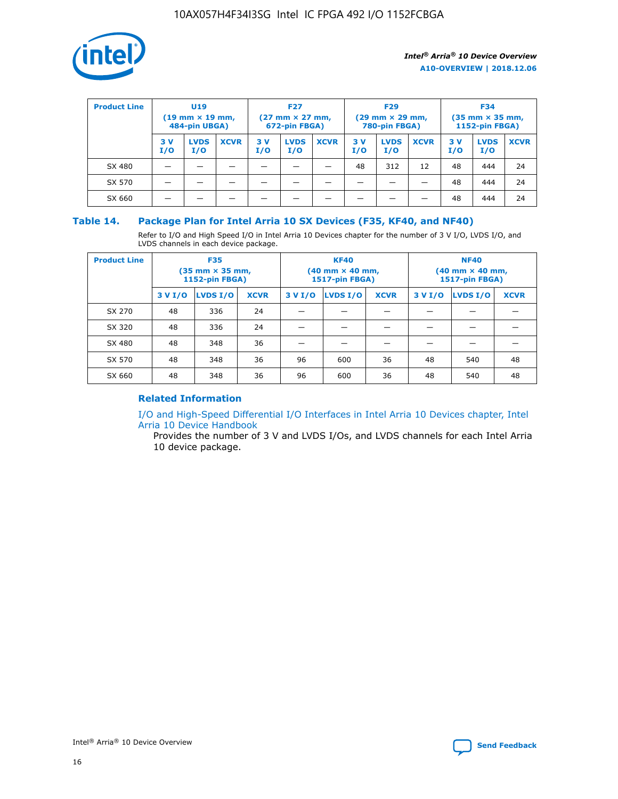

| <b>Product Line</b> | <b>U19</b><br>$(19 \text{ mm} \times 19 \text{ mm})$<br>484-pin UBGA) |                    | <b>F27</b><br>$(27 \text{ mm} \times 27 \text{ mm})$<br>672-pin FBGA) |           | <b>F29</b><br>$(29$ mm $\times$ 29 mm,<br>780-pin FBGA) |             |           | <b>F34</b><br>$(35$ mm $\times$ 35 mm,<br><b>1152-pin FBGA)</b> |             |           |                    |             |
|---------------------|-----------------------------------------------------------------------|--------------------|-----------------------------------------------------------------------|-----------|---------------------------------------------------------|-------------|-----------|-----------------------------------------------------------------|-------------|-----------|--------------------|-------------|
|                     | 3 V<br>I/O                                                            | <b>LVDS</b><br>I/O | <b>XCVR</b>                                                           | 3V<br>I/O | <b>LVDS</b><br>I/O                                      | <b>XCVR</b> | 3V<br>I/O | <b>LVDS</b><br>I/O                                              | <b>XCVR</b> | 3V<br>I/O | <b>LVDS</b><br>I/O | <b>XCVR</b> |
| SX 480              |                                                                       |                    |                                                                       |           |                                                         |             | 48        | 312                                                             | 12          | 48        | 444                | 24          |
| SX 570              |                                                                       |                    |                                                                       |           |                                                         |             |           |                                                                 |             | 48        | 444                | 24          |
| SX 660              |                                                                       |                    |                                                                       |           |                                                         |             |           |                                                                 |             | 48        | 444                | 24          |

## **Table 14. Package Plan for Intel Arria 10 SX Devices (F35, KF40, and NF40)**

Refer to I/O and High Speed I/O in Intel Arria 10 Devices chapter for the number of 3 V I/O, LVDS I/O, and LVDS channels in each device package.

| <b>Product Line</b> | <b>F35</b><br>(35 mm × 35 mm,<br><b>1152-pin FBGA)</b> |          |             |                                           | <b>KF40</b><br>(40 mm × 40 mm,<br>1517-pin FBGA) |    | <b>NF40</b><br>(40 mm × 40 mm,<br>1517-pin FBGA) |          |             |  |
|---------------------|--------------------------------------------------------|----------|-------------|-------------------------------------------|--------------------------------------------------|----|--------------------------------------------------|----------|-------------|--|
|                     | 3 V I/O                                                | LVDS I/O | <b>XCVR</b> | <b>LVDS I/O</b><br>3 V I/O<br><b>XCVR</b> |                                                  |    | 3 V I/O                                          | LVDS I/O | <b>XCVR</b> |  |
| SX 270              | 48                                                     | 336      | 24          |                                           |                                                  |    |                                                  |          |             |  |
| SX 320              | 48                                                     | 336      | 24          |                                           |                                                  |    |                                                  |          |             |  |
| SX 480              | 48                                                     | 348      | 36          |                                           |                                                  |    |                                                  |          |             |  |
| SX 570              | 48                                                     | 348      | 36          | 96                                        | 600                                              | 36 | 48                                               | 540      | 48          |  |
| SX 660              | 48                                                     | 348      | 36          | 96                                        | 600                                              | 36 | 48                                               | 540      | 48          |  |

# **Related Information**

[I/O and High-Speed Differential I/O Interfaces in Intel Arria 10 Devices chapter, Intel](https://www.intel.com/content/www/us/en/programmable/documentation/sam1403482614086.html#sam1403482030321) [Arria 10 Device Handbook](https://www.intel.com/content/www/us/en/programmable/documentation/sam1403482614086.html#sam1403482030321)

Provides the number of 3 V and LVDS I/Os, and LVDS channels for each Intel Arria 10 device package.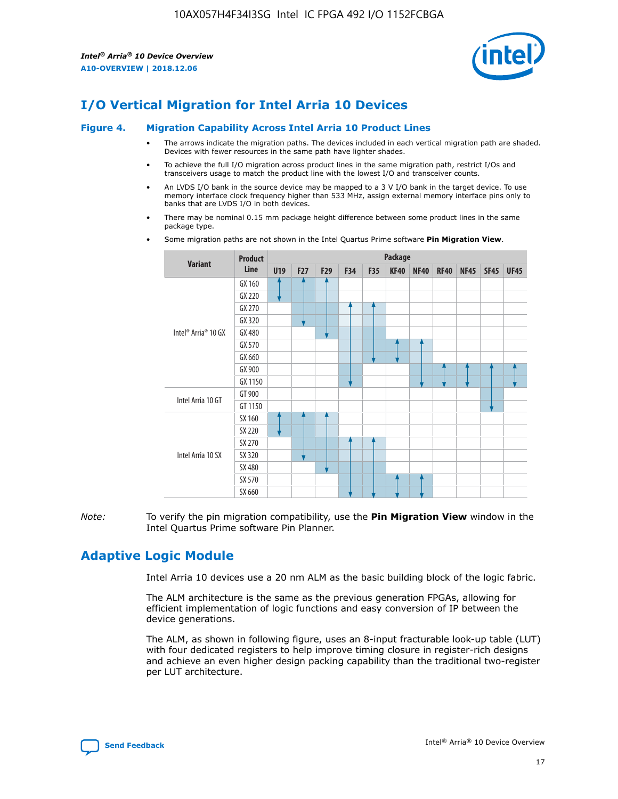

# **I/O Vertical Migration for Intel Arria 10 Devices**

#### **Figure 4. Migration Capability Across Intel Arria 10 Product Lines**

- The arrows indicate the migration paths. The devices included in each vertical migration path are shaded. Devices with fewer resources in the same path have lighter shades.
- To achieve the full I/O migration across product lines in the same migration path, restrict I/Os and transceivers usage to match the product line with the lowest I/O and transceiver counts.
- An LVDS I/O bank in the source device may be mapped to a 3 V I/O bank in the target device. To use memory interface clock frequency higher than 533 MHz, assign external memory interface pins only to banks that are LVDS I/O in both devices.
- There may be nominal 0.15 mm package height difference between some product lines in the same package type.
	- **Variant Product Line Package U19 F27 F29 F34 F35 KF40 NF40 RF40 NF45 SF45 UF45** Intel® Arria® 10 GX GX 160 GX 220 GX 270 GX 320 GX 480 GX 570 GX 660 GX 900 GX 1150 Intel Arria 10 GT GT 900 GT 1150 Intel Arria 10 SX SX 160 SX 220 SX 270 SX 320 SX 480 SX 570 SX 660
- Some migration paths are not shown in the Intel Quartus Prime software **Pin Migration View**.

*Note:* To verify the pin migration compatibility, use the **Pin Migration View** window in the Intel Quartus Prime software Pin Planner.

# **Adaptive Logic Module**

Intel Arria 10 devices use a 20 nm ALM as the basic building block of the logic fabric.

The ALM architecture is the same as the previous generation FPGAs, allowing for efficient implementation of logic functions and easy conversion of IP between the device generations.

The ALM, as shown in following figure, uses an 8-input fracturable look-up table (LUT) with four dedicated registers to help improve timing closure in register-rich designs and achieve an even higher design packing capability than the traditional two-register per LUT architecture.

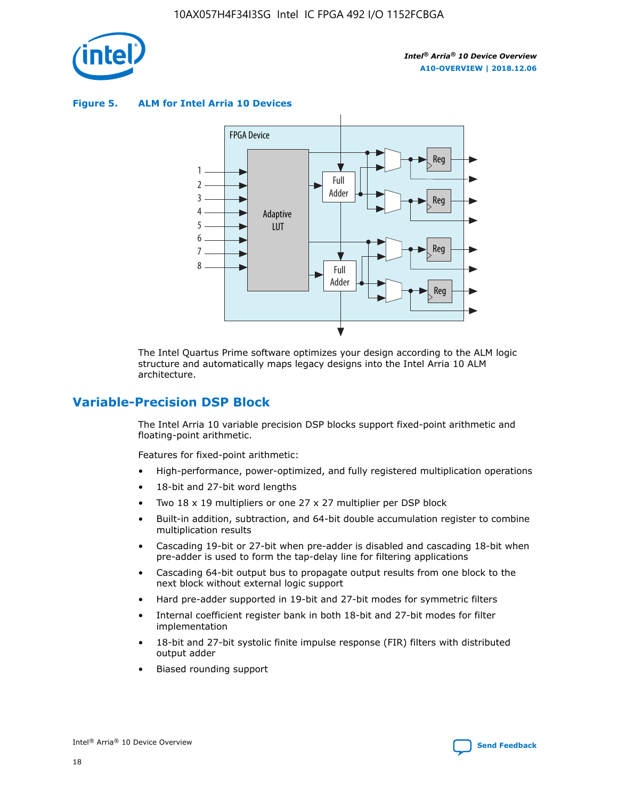

**Figure 5. ALM for Intel Arria 10 Devices**



The Intel Quartus Prime software optimizes your design according to the ALM logic structure and automatically maps legacy designs into the Intel Arria 10 ALM architecture.

# **Variable-Precision DSP Block**

The Intel Arria 10 variable precision DSP blocks support fixed-point arithmetic and floating-point arithmetic.

Features for fixed-point arithmetic:

- High-performance, power-optimized, and fully registered multiplication operations
- 18-bit and 27-bit word lengths
- Two 18 x 19 multipliers or one 27 x 27 multiplier per DSP block
- Built-in addition, subtraction, and 64-bit double accumulation register to combine multiplication results
- Cascading 19-bit or 27-bit when pre-adder is disabled and cascading 18-bit when pre-adder is used to form the tap-delay line for filtering applications
- Cascading 64-bit output bus to propagate output results from one block to the next block without external logic support
- Hard pre-adder supported in 19-bit and 27-bit modes for symmetric filters
- Internal coefficient register bank in both 18-bit and 27-bit modes for filter implementation
- 18-bit and 27-bit systolic finite impulse response (FIR) filters with distributed output adder
- Biased rounding support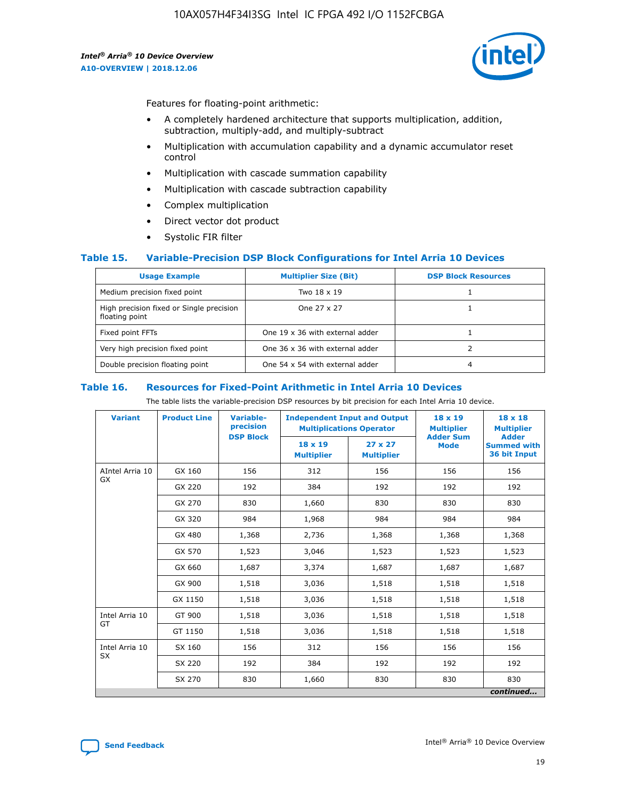

Features for floating-point arithmetic:

- A completely hardened architecture that supports multiplication, addition, subtraction, multiply-add, and multiply-subtract
- Multiplication with accumulation capability and a dynamic accumulator reset control
- Multiplication with cascade summation capability
- Multiplication with cascade subtraction capability
- Complex multiplication
- Direct vector dot product
- Systolic FIR filter

#### **Table 15. Variable-Precision DSP Block Configurations for Intel Arria 10 Devices**

| <b>Usage Example</b>                                       | <b>Multiplier Size (Bit)</b>    | <b>DSP Block Resources</b> |
|------------------------------------------------------------|---------------------------------|----------------------------|
| Medium precision fixed point                               | Two 18 x 19                     |                            |
| High precision fixed or Single precision<br>floating point | One 27 x 27                     |                            |
| Fixed point FFTs                                           | One 19 x 36 with external adder |                            |
| Very high precision fixed point                            | One 36 x 36 with external adder |                            |
| Double precision floating point                            | One 54 x 54 with external adder | 4                          |

#### **Table 16. Resources for Fixed-Point Arithmetic in Intel Arria 10 Devices**

The table lists the variable-precision DSP resources by bit precision for each Intel Arria 10 device.

| <b>Variant</b>  | <b>Product Line</b> | Variable-<br>precision<br><b>DSP Block</b> | <b>Independent Input and Output</b><br><b>Multiplications Operator</b> |                                     | 18 x 19<br><b>Multiplier</b><br><b>Adder Sum</b> | $18 \times 18$<br><b>Multiplier</b><br><b>Adder</b> |
|-----------------|---------------------|--------------------------------------------|------------------------------------------------------------------------|-------------------------------------|--------------------------------------------------|-----------------------------------------------------|
|                 |                     |                                            | 18 x 19<br><b>Multiplier</b>                                           | $27 \times 27$<br><b>Multiplier</b> | <b>Mode</b>                                      | <b>Summed with</b><br>36 bit Input                  |
| AIntel Arria 10 | GX 160              | 156                                        | 312                                                                    | 156                                 | 156                                              | 156                                                 |
| GX              | GX 220              | 192                                        | 384                                                                    | 192                                 | 192                                              | 192                                                 |
|                 | GX 270              | 830                                        | 1,660                                                                  | 830                                 | 830                                              | 830                                                 |
|                 | GX 320              | 984                                        | 1,968                                                                  | 984                                 | 984                                              | 984                                                 |
|                 | GX 480              | 1,368                                      | 2,736                                                                  | 1,368                               | 1,368                                            | 1,368                                               |
|                 | GX 570              | 1,523                                      | 3,046                                                                  | 1,523                               | 1,523                                            | 1,523                                               |
|                 | GX 660              | 1,687                                      | 3,374                                                                  | 1,687                               | 1,687                                            | 1,687                                               |
|                 | GX 900              | 1,518                                      | 3,036                                                                  | 1,518                               | 1,518                                            | 1,518                                               |
|                 | GX 1150             | 1,518                                      | 3,036                                                                  | 1,518                               | 1,518                                            | 1,518                                               |
| Intel Arria 10  | GT 900              | 1,518                                      | 3,036                                                                  | 1,518                               | 1,518                                            | 1,518                                               |
| GT              | GT 1150             | 1,518                                      | 3,036                                                                  | 1,518                               | 1,518                                            | 1,518                                               |
| Intel Arria 10  | SX 160              | 156                                        | 312                                                                    | 156                                 | 156                                              | 156                                                 |
| <b>SX</b>       | SX 220              | 192                                        | 384                                                                    | 192                                 | 192                                              | 192                                                 |
|                 | SX 270              | 830                                        | 1,660                                                                  | 830                                 | 830                                              | 830                                                 |
|                 |                     |                                            |                                                                        |                                     |                                                  | continued                                           |

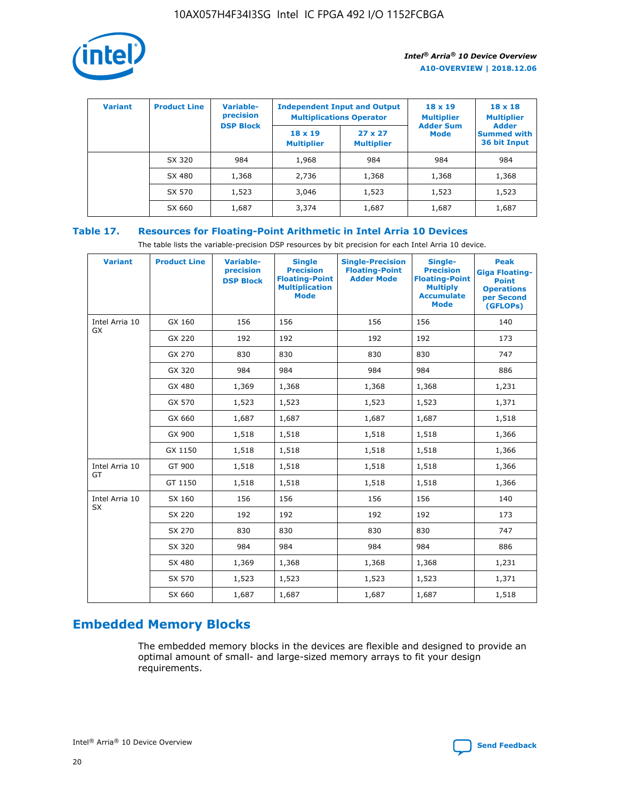

| <b>Variant</b> | <b>Product Line</b> | <b>Variable-</b><br>precision<br><b>DSP Block</b> | <b>Independent Input and Output</b><br><b>Multiplications Operator</b> |                                     | $18 \times 19$<br><b>Multiplier</b><br><b>Adder Sum</b> | $18 \times 18$<br><b>Multiplier</b><br><b>Adder</b> |  |
|----------------|---------------------|---------------------------------------------------|------------------------------------------------------------------------|-------------------------------------|---------------------------------------------------------|-----------------------------------------------------|--|
|                |                     |                                                   | $18 \times 19$<br><b>Multiplier</b>                                    | $27 \times 27$<br><b>Multiplier</b> | <b>Mode</b>                                             | <b>Summed with</b><br>36 bit Input                  |  |
|                | SX 320              | 984                                               | 1,968                                                                  | 984                                 | 984                                                     | 984                                                 |  |
|                | SX 480              | 1,368                                             | 2,736                                                                  | 1,368                               | 1,368                                                   | 1,368                                               |  |
|                | SX 570              | 1,523                                             | 3,046                                                                  | 1,523                               | 1,523                                                   | 1,523                                               |  |
|                | SX 660              | 1,687                                             | 3,374                                                                  | 1,687                               | 1,687                                                   | 1,687                                               |  |

# **Table 17. Resources for Floating-Point Arithmetic in Intel Arria 10 Devices**

The table lists the variable-precision DSP resources by bit precision for each Intel Arria 10 device.

| <b>Variant</b> | <b>Product Line</b> | <b>Variable-</b><br>precision<br><b>DSP Block</b> | <b>Single</b><br><b>Precision</b><br><b>Floating-Point</b><br><b>Multiplication</b><br><b>Mode</b> | <b>Single-Precision</b><br><b>Floating-Point</b><br><b>Adder Mode</b> | Single-<br><b>Precision</b><br><b>Floating-Point</b><br><b>Multiply</b><br><b>Accumulate</b><br><b>Mode</b> | <b>Peak</b><br><b>Giga Floating-</b><br><b>Point</b><br><b>Operations</b><br>per Second<br>(GFLOPs) |
|----------------|---------------------|---------------------------------------------------|----------------------------------------------------------------------------------------------------|-----------------------------------------------------------------------|-------------------------------------------------------------------------------------------------------------|-----------------------------------------------------------------------------------------------------|
| Intel Arria 10 | GX 160              | 156                                               | 156                                                                                                | 156                                                                   | 156                                                                                                         | 140                                                                                                 |
| GX             | GX 220              | 192                                               | 192                                                                                                | 192                                                                   | 192                                                                                                         | 173                                                                                                 |
|                | GX 270              | 830                                               | 830                                                                                                | 830                                                                   | 830                                                                                                         | 747                                                                                                 |
|                | GX 320              | 984                                               | 984                                                                                                | 984                                                                   | 984                                                                                                         | 886                                                                                                 |
|                | GX 480              | 1,369                                             | 1,368                                                                                              | 1,368                                                                 | 1,368                                                                                                       | 1,231                                                                                               |
|                | GX 570              | 1,523                                             | 1,523                                                                                              | 1,523                                                                 | 1,523                                                                                                       | 1,371                                                                                               |
|                | GX 660              | 1,687                                             | 1,687                                                                                              | 1,687                                                                 | 1,687                                                                                                       | 1,518                                                                                               |
|                | GX 900              | 1,518                                             | 1,518                                                                                              | 1,518                                                                 | 1,518                                                                                                       | 1,366                                                                                               |
|                | GX 1150             | 1,518                                             | 1,518                                                                                              | 1,518                                                                 | 1,518                                                                                                       | 1,366                                                                                               |
| Intel Arria 10 | GT 900              | 1,518                                             | 1,518                                                                                              | 1,518                                                                 | 1,518                                                                                                       | 1,366                                                                                               |
| GT             | GT 1150             | 1,518                                             | 1,518                                                                                              | 1,518                                                                 | 1,518                                                                                                       | 1,366                                                                                               |
| Intel Arria 10 | SX 160              | 156                                               | 156                                                                                                | 156                                                                   | 156                                                                                                         | 140                                                                                                 |
| <b>SX</b>      | SX 220              | 192                                               | 192                                                                                                | 192                                                                   | 192                                                                                                         | 173                                                                                                 |
|                | SX 270              | 830                                               | 830                                                                                                | 830                                                                   | 830                                                                                                         | 747                                                                                                 |
|                | SX 320              | 984                                               | 984                                                                                                | 984                                                                   | 984                                                                                                         | 886                                                                                                 |
|                | SX 480              | 1,369                                             | 1,368                                                                                              | 1,368                                                                 | 1,368                                                                                                       | 1,231                                                                                               |
|                | SX 570              | 1,523                                             | 1,523                                                                                              | 1,523                                                                 | 1,523                                                                                                       | 1,371                                                                                               |
|                | SX 660              | 1,687                                             | 1,687                                                                                              | 1,687                                                                 | 1,687                                                                                                       | 1,518                                                                                               |

# **Embedded Memory Blocks**

The embedded memory blocks in the devices are flexible and designed to provide an optimal amount of small- and large-sized memory arrays to fit your design requirements.

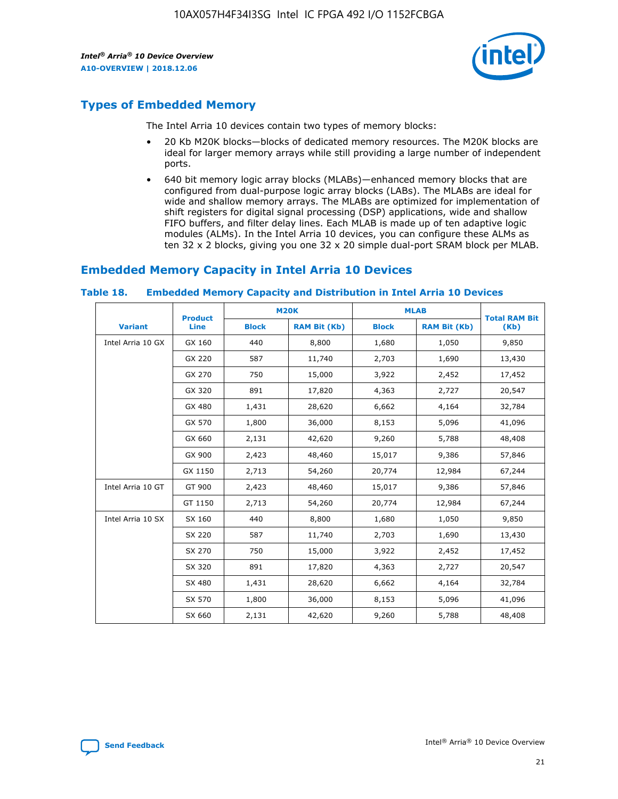

# **Types of Embedded Memory**

The Intel Arria 10 devices contain two types of memory blocks:

- 20 Kb M20K blocks—blocks of dedicated memory resources. The M20K blocks are ideal for larger memory arrays while still providing a large number of independent ports.
- 640 bit memory logic array blocks (MLABs)—enhanced memory blocks that are configured from dual-purpose logic array blocks (LABs). The MLABs are ideal for wide and shallow memory arrays. The MLABs are optimized for implementation of shift registers for digital signal processing (DSP) applications, wide and shallow FIFO buffers, and filter delay lines. Each MLAB is made up of ten adaptive logic modules (ALMs). In the Intel Arria 10 devices, you can configure these ALMs as ten 32 x 2 blocks, giving you one 32 x 20 simple dual-port SRAM block per MLAB.

# **Embedded Memory Capacity in Intel Arria 10 Devices**

|                   | <b>Product</b> |              | <b>M20K</b>         | <b>MLAB</b>  |                     | <b>Total RAM Bit</b> |
|-------------------|----------------|--------------|---------------------|--------------|---------------------|----------------------|
| <b>Variant</b>    | Line           | <b>Block</b> | <b>RAM Bit (Kb)</b> | <b>Block</b> | <b>RAM Bit (Kb)</b> | (Kb)                 |
| Intel Arria 10 GX | GX 160         | 440          | 8,800               | 1,680        | 1,050               | 9,850                |
|                   | GX 220         | 587          | 11,740              | 2,703        | 1,690               | 13,430               |
|                   | GX 270         | 750          | 15,000              | 3,922        | 2,452               | 17,452               |
|                   | GX 320         | 891          | 17,820              | 4,363        | 2,727               | 20,547               |
|                   | GX 480         | 1,431        | 28,620              | 6,662        | 4,164               | 32,784               |
|                   | GX 570         | 1,800        | 36,000              | 8,153        | 5,096               | 41,096               |
|                   | GX 660         | 2,131        | 42,620              | 9,260        | 5,788               | 48,408               |
|                   | GX 900         | 2,423        | 48,460              | 15,017       | 9,386               | 57,846               |
|                   | GX 1150        | 2,713        | 54,260              | 20,774       | 12,984              | 67,244               |
| Intel Arria 10 GT | GT 900         | 2,423        | 48,460              | 15,017       | 9,386               | 57,846               |
|                   | GT 1150        | 2,713        | 54,260              | 20,774       | 12,984              | 67,244               |
| Intel Arria 10 SX | SX 160         | 440          | 8,800               | 1,680        | 1,050               | 9,850                |
|                   | SX 220         | 587          | 11,740              | 2,703        | 1,690               | 13,430               |
|                   | SX 270         | 750          | 15,000              | 3,922        | 2,452               | 17,452               |
|                   | SX 320         | 891          | 17,820              | 4,363        | 2,727               | 20,547               |
|                   | SX 480         | 1,431        | 28,620              | 6,662        | 4,164               | 32,784               |
|                   | SX 570         | 1,800        | 36,000              | 8,153        | 5,096               | 41,096               |
|                   | SX 660         | 2,131        | 42,620              | 9,260        | 5,788               | 48,408               |

#### **Table 18. Embedded Memory Capacity and Distribution in Intel Arria 10 Devices**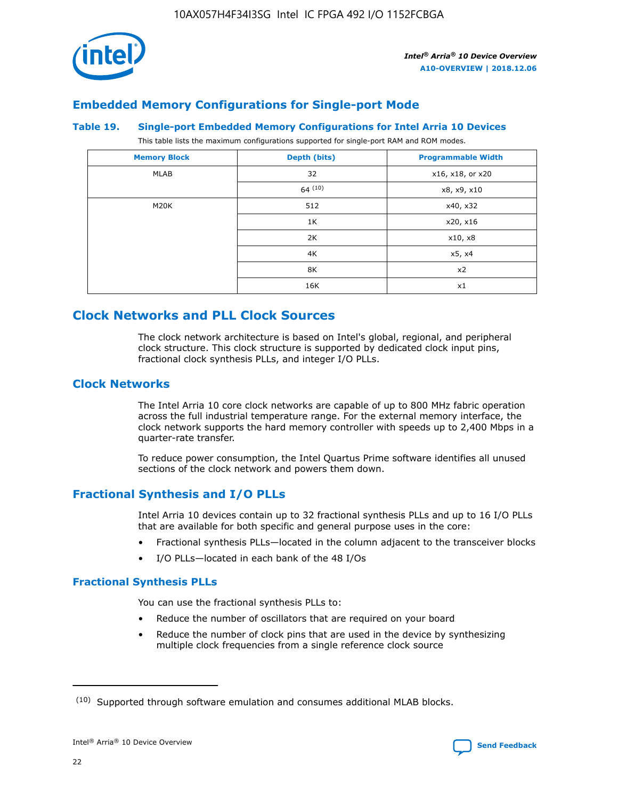

# **Embedded Memory Configurations for Single-port Mode**

#### **Table 19. Single-port Embedded Memory Configurations for Intel Arria 10 Devices**

This table lists the maximum configurations supported for single-port RAM and ROM modes.

| <b>Memory Block</b> | Depth (bits) | <b>Programmable Width</b> |
|---------------------|--------------|---------------------------|
| MLAB                | 32           | x16, x18, or x20          |
|                     | 64(10)       | x8, x9, x10               |
| M20K                | 512          | x40, x32                  |
|                     | 1K           | x20, x16                  |
|                     | 2K           | x10, x8                   |
|                     | 4K           | x5, x4                    |
|                     | 8K           | x2                        |
|                     | 16K          | x1                        |

# **Clock Networks and PLL Clock Sources**

The clock network architecture is based on Intel's global, regional, and peripheral clock structure. This clock structure is supported by dedicated clock input pins, fractional clock synthesis PLLs, and integer I/O PLLs.

# **Clock Networks**

The Intel Arria 10 core clock networks are capable of up to 800 MHz fabric operation across the full industrial temperature range. For the external memory interface, the clock network supports the hard memory controller with speeds up to 2,400 Mbps in a quarter-rate transfer.

To reduce power consumption, the Intel Quartus Prime software identifies all unused sections of the clock network and powers them down.

# **Fractional Synthesis and I/O PLLs**

Intel Arria 10 devices contain up to 32 fractional synthesis PLLs and up to 16 I/O PLLs that are available for both specific and general purpose uses in the core:

- Fractional synthesis PLLs—located in the column adjacent to the transceiver blocks
- I/O PLLs—located in each bank of the 48 I/Os

#### **Fractional Synthesis PLLs**

You can use the fractional synthesis PLLs to:

- Reduce the number of oscillators that are required on your board
- Reduce the number of clock pins that are used in the device by synthesizing multiple clock frequencies from a single reference clock source

<sup>(10)</sup> Supported through software emulation and consumes additional MLAB blocks.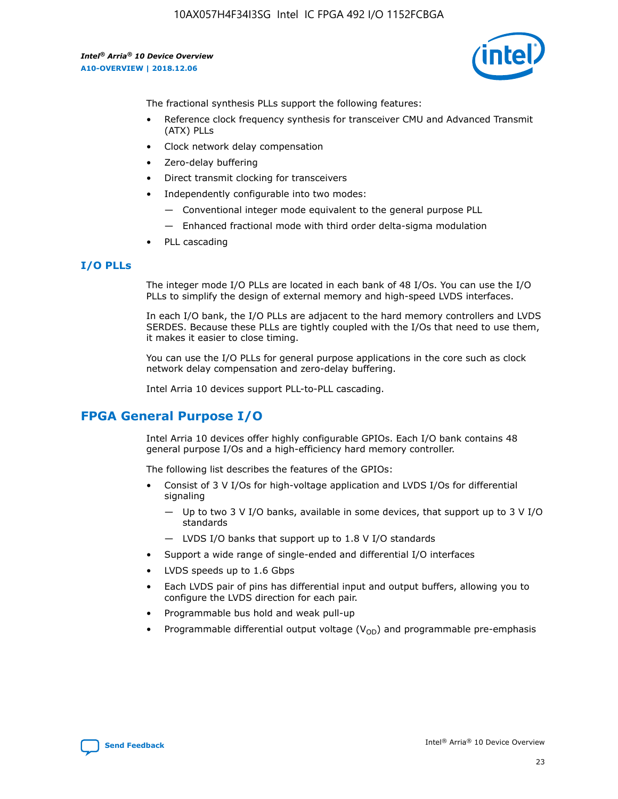

The fractional synthesis PLLs support the following features:

- Reference clock frequency synthesis for transceiver CMU and Advanced Transmit (ATX) PLLs
- Clock network delay compensation
- Zero-delay buffering
- Direct transmit clocking for transceivers
- Independently configurable into two modes:
	- Conventional integer mode equivalent to the general purpose PLL
	- Enhanced fractional mode with third order delta-sigma modulation
- PLL cascading

#### **I/O PLLs**

The integer mode I/O PLLs are located in each bank of 48 I/Os. You can use the I/O PLLs to simplify the design of external memory and high-speed LVDS interfaces.

In each I/O bank, the I/O PLLs are adjacent to the hard memory controllers and LVDS SERDES. Because these PLLs are tightly coupled with the I/Os that need to use them, it makes it easier to close timing.

You can use the I/O PLLs for general purpose applications in the core such as clock network delay compensation and zero-delay buffering.

Intel Arria 10 devices support PLL-to-PLL cascading.

# **FPGA General Purpose I/O**

Intel Arria 10 devices offer highly configurable GPIOs. Each I/O bank contains 48 general purpose I/Os and a high-efficiency hard memory controller.

The following list describes the features of the GPIOs:

- Consist of 3 V I/Os for high-voltage application and LVDS I/Os for differential signaling
	- Up to two 3 V I/O banks, available in some devices, that support up to 3 V I/O standards
	- LVDS I/O banks that support up to 1.8 V I/O standards
- Support a wide range of single-ended and differential I/O interfaces
- LVDS speeds up to 1.6 Gbps
- Each LVDS pair of pins has differential input and output buffers, allowing you to configure the LVDS direction for each pair.
- Programmable bus hold and weak pull-up
- Programmable differential output voltage  $(V_{OD})$  and programmable pre-emphasis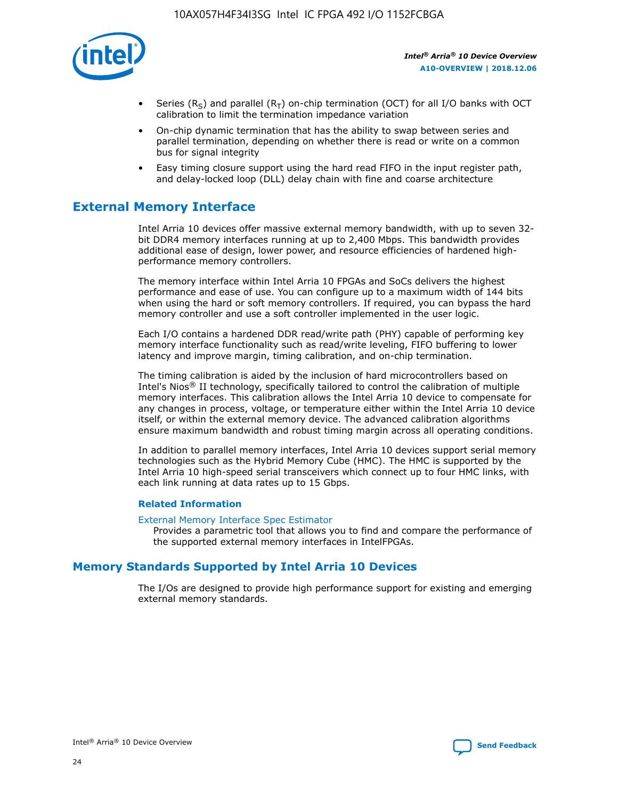

- Series (R<sub>S</sub>) and parallel (R<sub>T</sub>) on-chip termination (OCT) for all I/O banks with OCT calibration to limit the termination impedance variation
- On-chip dynamic termination that has the ability to swap between series and parallel termination, depending on whether there is read or write on a common bus for signal integrity
- Easy timing closure support using the hard read FIFO in the input register path, and delay-locked loop (DLL) delay chain with fine and coarse architecture

# **External Memory Interface**

Intel Arria 10 devices offer massive external memory bandwidth, with up to seven 32 bit DDR4 memory interfaces running at up to 2,400 Mbps. This bandwidth provides additional ease of design, lower power, and resource efficiencies of hardened highperformance memory controllers.

The memory interface within Intel Arria 10 FPGAs and SoCs delivers the highest performance and ease of use. You can configure up to a maximum width of 144 bits when using the hard or soft memory controllers. If required, you can bypass the hard memory controller and use a soft controller implemented in the user logic.

Each I/O contains a hardened DDR read/write path (PHY) capable of performing key memory interface functionality such as read/write leveling, FIFO buffering to lower latency and improve margin, timing calibration, and on-chip termination.

The timing calibration is aided by the inclusion of hard microcontrollers based on Intel's Nios® II technology, specifically tailored to control the calibration of multiple memory interfaces. This calibration allows the Intel Arria 10 device to compensate for any changes in process, voltage, or temperature either within the Intel Arria 10 device itself, or within the external memory device. The advanced calibration algorithms ensure maximum bandwidth and robust timing margin across all operating conditions.

In addition to parallel memory interfaces, Intel Arria 10 devices support serial memory technologies such as the Hybrid Memory Cube (HMC). The HMC is supported by the Intel Arria 10 high-speed serial transceivers which connect up to four HMC links, with each link running at data rates up to 15 Gbps.

#### **Related Information**

#### [External Memory Interface Spec Estimator](http://www.altera.com/technology/memory/estimator/mem-emif-index.html)

Provides a parametric tool that allows you to find and compare the performance of the supported external memory interfaces in IntelFPGAs.

# **Memory Standards Supported by Intel Arria 10 Devices**

The I/Os are designed to provide high performance support for existing and emerging external memory standards.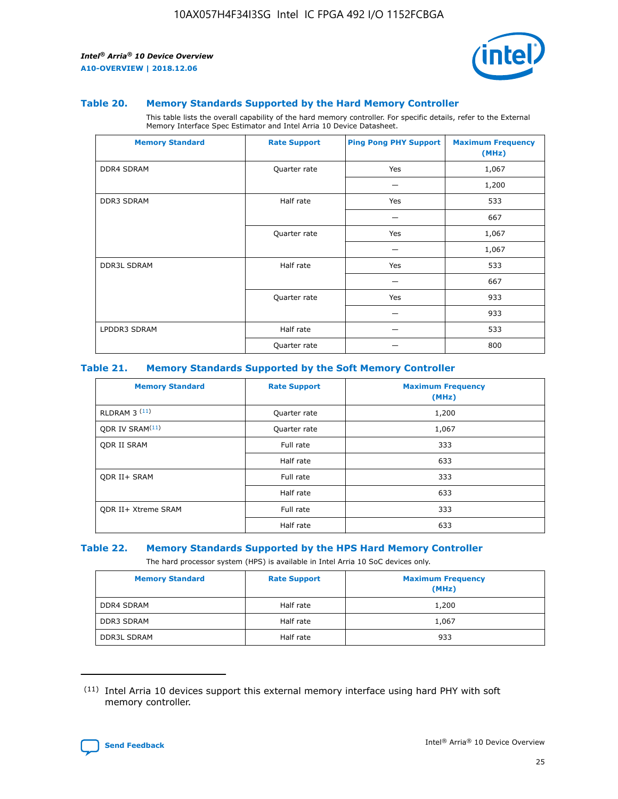

#### **Table 20. Memory Standards Supported by the Hard Memory Controller**

This table lists the overall capability of the hard memory controller. For specific details, refer to the External Memory Interface Spec Estimator and Intel Arria 10 Device Datasheet.

| <b>Memory Standard</b> | <b>Rate Support</b> | <b>Ping Pong PHY Support</b> | <b>Maximum Frequency</b><br>(MHz) |
|------------------------|---------------------|------------------------------|-----------------------------------|
| <b>DDR4 SDRAM</b>      | Quarter rate        | Yes                          | 1,067                             |
|                        |                     |                              | 1,200                             |
| DDR3 SDRAM             | Half rate           | Yes                          | 533                               |
|                        |                     |                              | 667                               |
|                        | Quarter rate        | Yes                          | 1,067                             |
|                        |                     |                              | 1,067                             |
| <b>DDR3L SDRAM</b>     | Half rate           | Yes                          | 533                               |
|                        |                     |                              | 667                               |
|                        | Quarter rate        | Yes                          | 933                               |
|                        |                     |                              | 933                               |
| LPDDR3 SDRAM           | Half rate           |                              | 533                               |
|                        | Quarter rate        |                              | 800                               |

#### **Table 21. Memory Standards Supported by the Soft Memory Controller**

| <b>Memory Standard</b>      | <b>Rate Support</b> | <b>Maximum Frequency</b><br>(MHz) |
|-----------------------------|---------------------|-----------------------------------|
| <b>RLDRAM 3 (11)</b>        | Quarter rate        | 1,200                             |
| ODR IV SRAM <sup>(11)</sup> | Quarter rate        | 1,067                             |
| <b>ODR II SRAM</b>          | Full rate           | 333                               |
|                             | Half rate           | 633                               |
| <b>ODR II+ SRAM</b>         | Full rate           | 333                               |
|                             | Half rate           | 633                               |
| <b>ODR II+ Xtreme SRAM</b>  | Full rate           | 333                               |
|                             | Half rate           | 633                               |

#### **Table 22. Memory Standards Supported by the HPS Hard Memory Controller**

The hard processor system (HPS) is available in Intel Arria 10 SoC devices only.

| <b>Memory Standard</b> | <b>Rate Support</b> | <b>Maximum Frequency</b><br>(MHz) |
|------------------------|---------------------|-----------------------------------|
| <b>DDR4 SDRAM</b>      | Half rate           | 1,200                             |
| <b>DDR3 SDRAM</b>      | Half rate           | 1,067                             |
| <b>DDR3L SDRAM</b>     | Half rate           | 933                               |

<sup>(11)</sup> Intel Arria 10 devices support this external memory interface using hard PHY with soft memory controller.

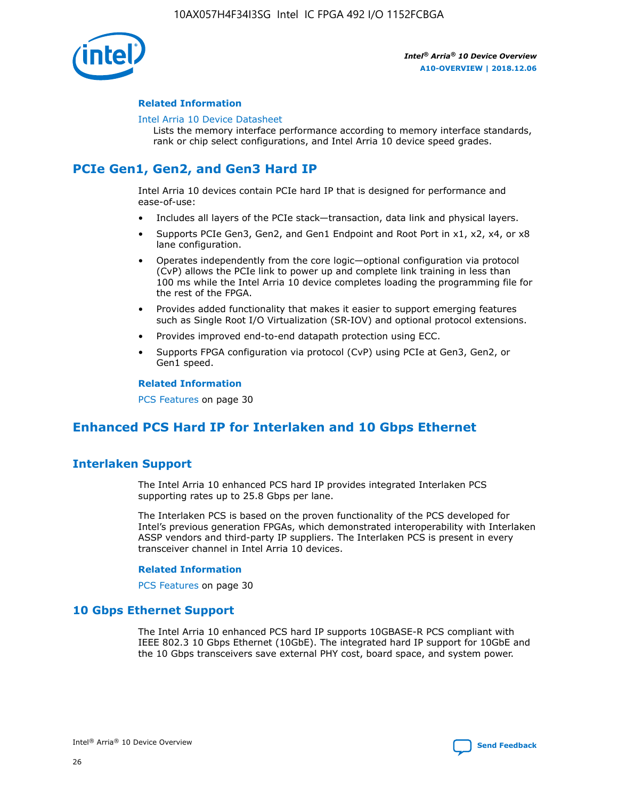

#### **Related Information**

#### [Intel Arria 10 Device Datasheet](https://www.intel.com/content/www/us/en/programmable/documentation/mcn1413182292568.html#mcn1413182153340)

Lists the memory interface performance according to memory interface standards, rank or chip select configurations, and Intel Arria 10 device speed grades.

# **PCIe Gen1, Gen2, and Gen3 Hard IP**

Intel Arria 10 devices contain PCIe hard IP that is designed for performance and ease-of-use:

- Includes all layers of the PCIe stack—transaction, data link and physical layers.
- Supports PCIe Gen3, Gen2, and Gen1 Endpoint and Root Port in x1, x2, x4, or x8 lane configuration.
- Operates independently from the core logic—optional configuration via protocol (CvP) allows the PCIe link to power up and complete link training in less than 100 ms while the Intel Arria 10 device completes loading the programming file for the rest of the FPGA.
- Provides added functionality that makes it easier to support emerging features such as Single Root I/O Virtualization (SR-IOV) and optional protocol extensions.
- Provides improved end-to-end datapath protection using ECC.
- Supports FPGA configuration via protocol (CvP) using PCIe at Gen3, Gen2, or Gen1 speed.

#### **Related Information**

PCS Features on page 30

# **Enhanced PCS Hard IP for Interlaken and 10 Gbps Ethernet**

# **Interlaken Support**

The Intel Arria 10 enhanced PCS hard IP provides integrated Interlaken PCS supporting rates up to 25.8 Gbps per lane.

The Interlaken PCS is based on the proven functionality of the PCS developed for Intel's previous generation FPGAs, which demonstrated interoperability with Interlaken ASSP vendors and third-party IP suppliers. The Interlaken PCS is present in every transceiver channel in Intel Arria 10 devices.

#### **Related Information**

PCS Features on page 30

# **10 Gbps Ethernet Support**

The Intel Arria 10 enhanced PCS hard IP supports 10GBASE-R PCS compliant with IEEE 802.3 10 Gbps Ethernet (10GbE). The integrated hard IP support for 10GbE and the 10 Gbps transceivers save external PHY cost, board space, and system power.



Intel® Arria® 10 Device Overview **[Send Feedback](mailto:FPGAtechdocfeedback@intel.com?subject=Feedback%20on%20Intel%20Arria%2010%20Device%20Overview%20(A10-OVERVIEW%202018.12.06)&body=We%20appreciate%20your%20feedback.%20In%20your%20comments,%20also%20specify%20the%20page%20number%20or%20paragraph.%20Thank%20you.)**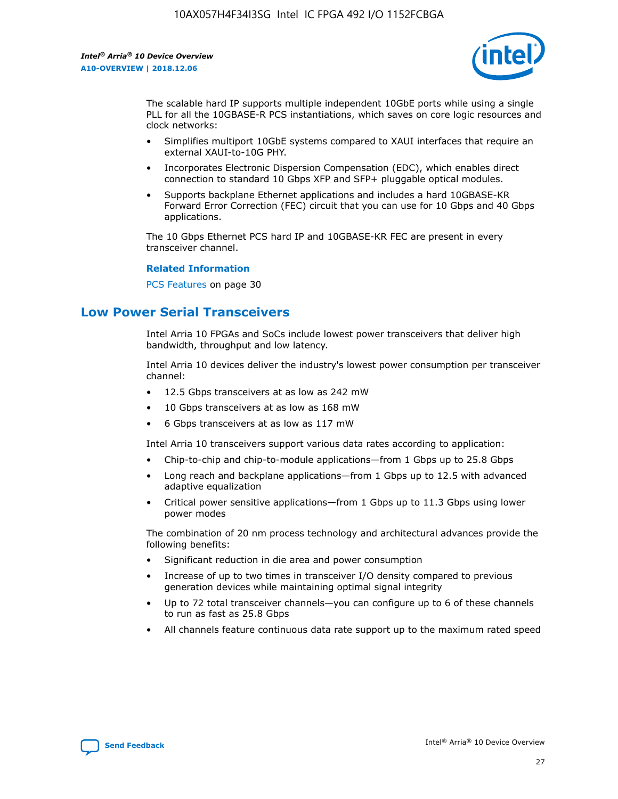

The scalable hard IP supports multiple independent 10GbE ports while using a single PLL for all the 10GBASE-R PCS instantiations, which saves on core logic resources and clock networks:

- Simplifies multiport 10GbE systems compared to XAUI interfaces that require an external XAUI-to-10G PHY.
- Incorporates Electronic Dispersion Compensation (EDC), which enables direct connection to standard 10 Gbps XFP and SFP+ pluggable optical modules.
- Supports backplane Ethernet applications and includes a hard 10GBASE-KR Forward Error Correction (FEC) circuit that you can use for 10 Gbps and 40 Gbps applications.

The 10 Gbps Ethernet PCS hard IP and 10GBASE-KR FEC are present in every transceiver channel.

#### **Related Information**

PCS Features on page 30

# **Low Power Serial Transceivers**

Intel Arria 10 FPGAs and SoCs include lowest power transceivers that deliver high bandwidth, throughput and low latency.

Intel Arria 10 devices deliver the industry's lowest power consumption per transceiver channel:

- 12.5 Gbps transceivers at as low as 242 mW
- 10 Gbps transceivers at as low as 168 mW
- 6 Gbps transceivers at as low as 117 mW

Intel Arria 10 transceivers support various data rates according to application:

- Chip-to-chip and chip-to-module applications—from 1 Gbps up to 25.8 Gbps
- Long reach and backplane applications—from 1 Gbps up to 12.5 with advanced adaptive equalization
- Critical power sensitive applications—from 1 Gbps up to 11.3 Gbps using lower power modes

The combination of 20 nm process technology and architectural advances provide the following benefits:

- Significant reduction in die area and power consumption
- Increase of up to two times in transceiver I/O density compared to previous generation devices while maintaining optimal signal integrity
- Up to 72 total transceiver channels—you can configure up to 6 of these channels to run as fast as 25.8 Gbps
- All channels feature continuous data rate support up to the maximum rated speed

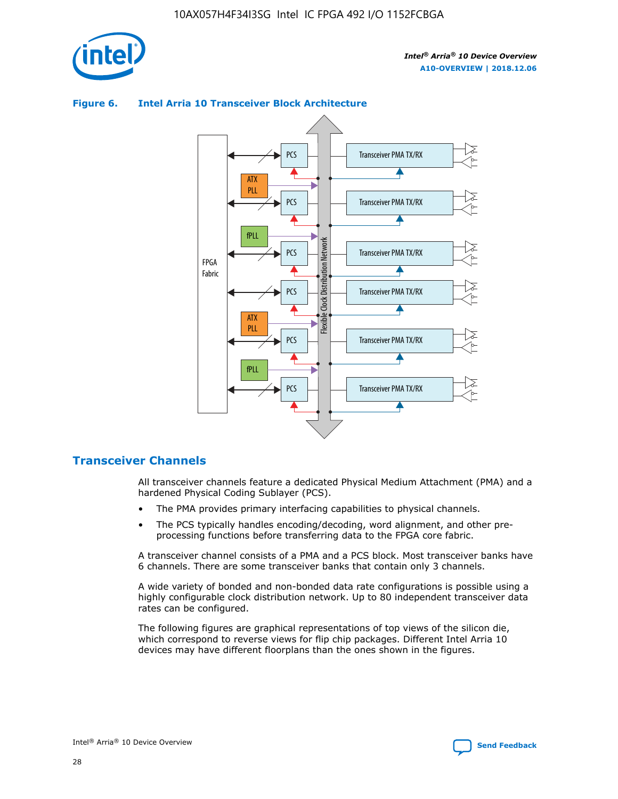



## **Figure 6. Intel Arria 10 Transceiver Block Architecture**

# **Transceiver Channels**

All transceiver channels feature a dedicated Physical Medium Attachment (PMA) and a hardened Physical Coding Sublayer (PCS).

- The PMA provides primary interfacing capabilities to physical channels.
- The PCS typically handles encoding/decoding, word alignment, and other preprocessing functions before transferring data to the FPGA core fabric.

A transceiver channel consists of a PMA and a PCS block. Most transceiver banks have 6 channels. There are some transceiver banks that contain only 3 channels.

A wide variety of bonded and non-bonded data rate configurations is possible using a highly configurable clock distribution network. Up to 80 independent transceiver data rates can be configured.

The following figures are graphical representations of top views of the silicon die, which correspond to reverse views for flip chip packages. Different Intel Arria 10 devices may have different floorplans than the ones shown in the figures.

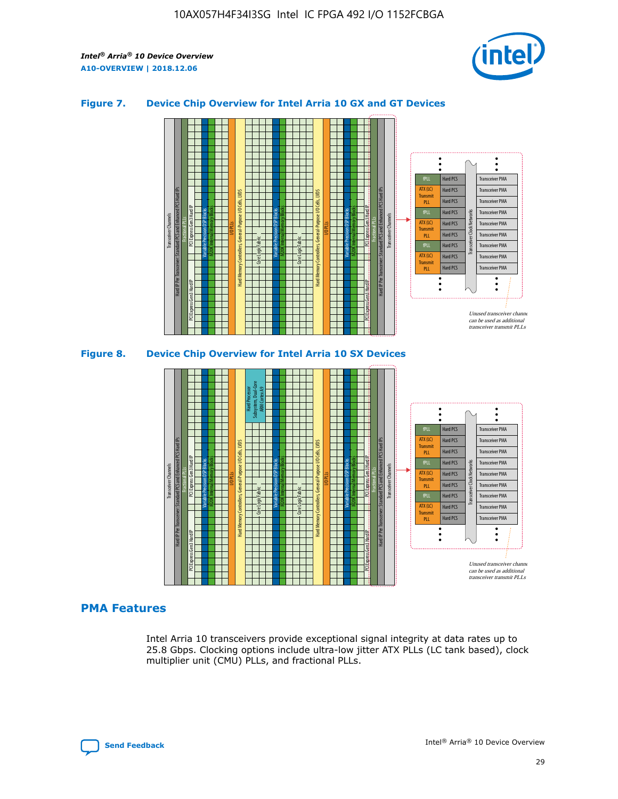

## **Figure 7. Device Chip Overview for Intel Arria 10 GX and GT Devices**





# **PMA Features**

Intel Arria 10 transceivers provide exceptional signal integrity at data rates up to 25.8 Gbps. Clocking options include ultra-low jitter ATX PLLs (LC tank based), clock multiplier unit (CMU) PLLs, and fractional PLLs.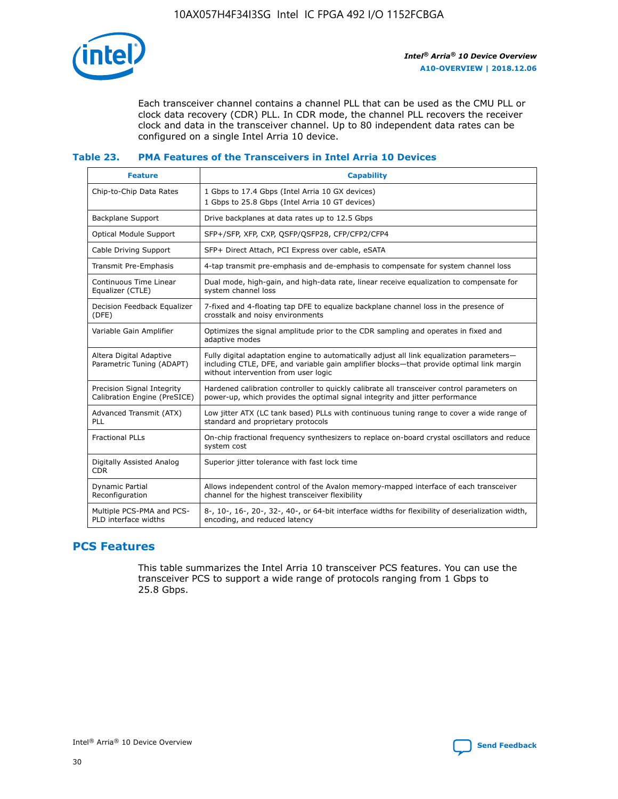

Each transceiver channel contains a channel PLL that can be used as the CMU PLL or clock data recovery (CDR) PLL. In CDR mode, the channel PLL recovers the receiver clock and data in the transceiver channel. Up to 80 independent data rates can be configured on a single Intel Arria 10 device.

## **Table 23. PMA Features of the Transceivers in Intel Arria 10 Devices**

| <b>Feature</b>                                             | <b>Capability</b>                                                                                                                                                                                                             |
|------------------------------------------------------------|-------------------------------------------------------------------------------------------------------------------------------------------------------------------------------------------------------------------------------|
| Chip-to-Chip Data Rates                                    | 1 Gbps to 17.4 Gbps (Intel Arria 10 GX devices)<br>1 Gbps to 25.8 Gbps (Intel Arria 10 GT devices)                                                                                                                            |
| Backplane Support                                          | Drive backplanes at data rates up to 12.5 Gbps                                                                                                                                                                                |
| Optical Module Support                                     | SFP+/SFP, XFP, CXP, QSFP/QSFP28, CFP/CFP2/CFP4                                                                                                                                                                                |
| Cable Driving Support                                      | SFP+ Direct Attach, PCI Express over cable, eSATA                                                                                                                                                                             |
| Transmit Pre-Emphasis                                      | 4-tap transmit pre-emphasis and de-emphasis to compensate for system channel loss                                                                                                                                             |
| Continuous Time Linear<br>Equalizer (CTLE)                 | Dual mode, high-gain, and high-data rate, linear receive equalization to compensate for<br>system channel loss                                                                                                                |
| Decision Feedback Equalizer<br>(DFE)                       | 7-fixed and 4-floating tap DFE to equalize backplane channel loss in the presence of<br>crosstalk and noisy environments                                                                                                      |
| Variable Gain Amplifier                                    | Optimizes the signal amplitude prior to the CDR sampling and operates in fixed and<br>adaptive modes                                                                                                                          |
| Altera Digital Adaptive<br>Parametric Tuning (ADAPT)       | Fully digital adaptation engine to automatically adjust all link equalization parameters-<br>including CTLE, DFE, and variable gain amplifier blocks—that provide optimal link margin<br>without intervention from user logic |
| Precision Signal Integrity<br>Calibration Engine (PreSICE) | Hardened calibration controller to quickly calibrate all transceiver control parameters on<br>power-up, which provides the optimal signal integrity and jitter performance                                                    |
| Advanced Transmit (ATX)<br>PLL                             | Low jitter ATX (LC tank based) PLLs with continuous tuning range to cover a wide range of<br>standard and proprietary protocols                                                                                               |
| <b>Fractional PLLs</b>                                     | On-chip fractional frequency synthesizers to replace on-board crystal oscillators and reduce<br>system cost                                                                                                                   |
| Digitally Assisted Analog<br><b>CDR</b>                    | Superior jitter tolerance with fast lock time                                                                                                                                                                                 |
| Dynamic Partial<br>Reconfiguration                         | Allows independent control of the Avalon memory-mapped interface of each transceiver<br>channel for the highest transceiver flexibility                                                                                       |
| Multiple PCS-PMA and PCS-<br>PLD interface widths          | 8-, 10-, 16-, 20-, 32-, 40-, or 64-bit interface widths for flexibility of deserialization width,<br>encoding, and reduced latency                                                                                            |

# **PCS Features**

This table summarizes the Intel Arria 10 transceiver PCS features. You can use the transceiver PCS to support a wide range of protocols ranging from 1 Gbps to 25.8 Gbps.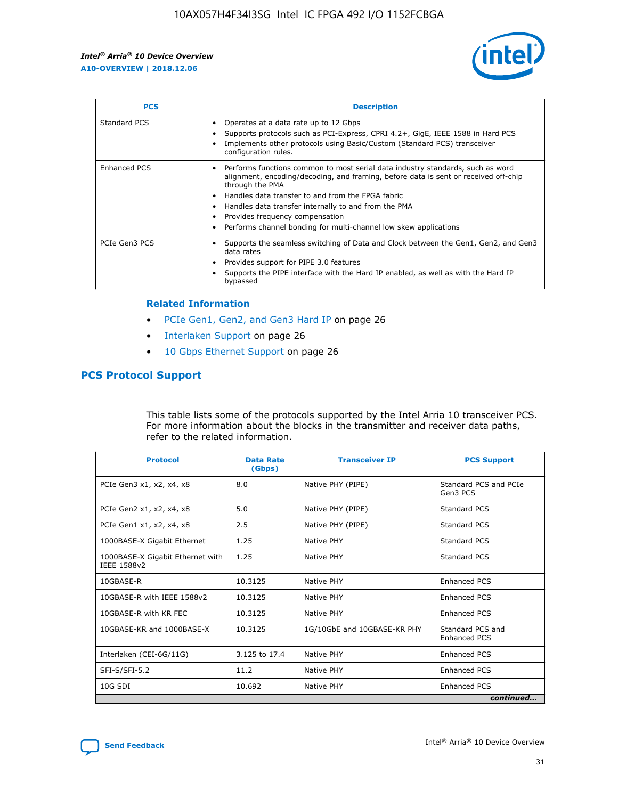

| <b>PCS</b>          | <b>Description</b>                                                                                                                                                                                                                                                                                                                                                                                             |
|---------------------|----------------------------------------------------------------------------------------------------------------------------------------------------------------------------------------------------------------------------------------------------------------------------------------------------------------------------------------------------------------------------------------------------------------|
| Standard PCS        | Operates at a data rate up to 12 Gbps<br>Supports protocols such as PCI-Express, CPRI 4.2+, GigE, IEEE 1588 in Hard PCS<br>Implements other protocols using Basic/Custom (Standard PCS) transceiver<br>configuration rules.                                                                                                                                                                                    |
| <b>Enhanced PCS</b> | Performs functions common to most serial data industry standards, such as word<br>alignment, encoding/decoding, and framing, before data is sent or received off-chip<br>through the PMA<br>• Handles data transfer to and from the FPGA fabric<br>Handles data transfer internally to and from the PMA<br>Provides frequency compensation<br>Performs channel bonding for multi-channel low skew applications |
| PCIe Gen3 PCS       | Supports the seamless switching of Data and Clock between the Gen1, Gen2, and Gen3<br>data rates<br>Provides support for PIPE 3.0 features<br>Supports the PIPE interface with the Hard IP enabled, as well as with the Hard IP<br>bypassed                                                                                                                                                                    |

#### **Related Information**

- PCIe Gen1, Gen2, and Gen3 Hard IP on page 26
- Interlaken Support on page 26
- 10 Gbps Ethernet Support on page 26

# **PCS Protocol Support**

This table lists some of the protocols supported by the Intel Arria 10 transceiver PCS. For more information about the blocks in the transmitter and receiver data paths, refer to the related information.

| <b>Protocol</b>                                 | <b>Data Rate</b><br>(Gbps) | <b>Transceiver IP</b>       | <b>PCS Support</b>                      |
|-------------------------------------------------|----------------------------|-----------------------------|-----------------------------------------|
| PCIe Gen3 x1, x2, x4, x8                        | 8.0                        | Native PHY (PIPE)           | Standard PCS and PCIe<br>Gen3 PCS       |
| PCIe Gen2 x1, x2, x4, x8                        | 5.0                        | Native PHY (PIPE)           | <b>Standard PCS</b>                     |
| PCIe Gen1 x1, x2, x4, x8                        | 2.5                        | Native PHY (PIPE)           | Standard PCS                            |
| 1000BASE-X Gigabit Ethernet                     | 1.25                       | Native PHY                  | <b>Standard PCS</b>                     |
| 1000BASE-X Gigabit Ethernet with<br>IEEE 1588v2 | 1.25                       | Native PHY                  | Standard PCS                            |
| 10GBASE-R                                       | 10.3125                    | Native PHY                  | <b>Enhanced PCS</b>                     |
| 10GBASE-R with IEEE 1588v2                      | 10.3125                    | Native PHY                  | <b>Enhanced PCS</b>                     |
| 10GBASE-R with KR FEC                           | 10.3125                    | Native PHY                  | <b>Enhanced PCS</b>                     |
| 10GBASE-KR and 1000BASE-X                       | 10.3125                    | 1G/10GbE and 10GBASE-KR PHY | Standard PCS and<br><b>Enhanced PCS</b> |
| Interlaken (CEI-6G/11G)                         | 3.125 to 17.4              | Native PHY                  | <b>Enhanced PCS</b>                     |
| SFI-S/SFI-5.2                                   | 11.2                       | Native PHY                  | <b>Enhanced PCS</b>                     |
| $10G$ SDI                                       | 10.692                     | Native PHY                  | <b>Enhanced PCS</b>                     |
|                                                 |                            |                             | continued                               |

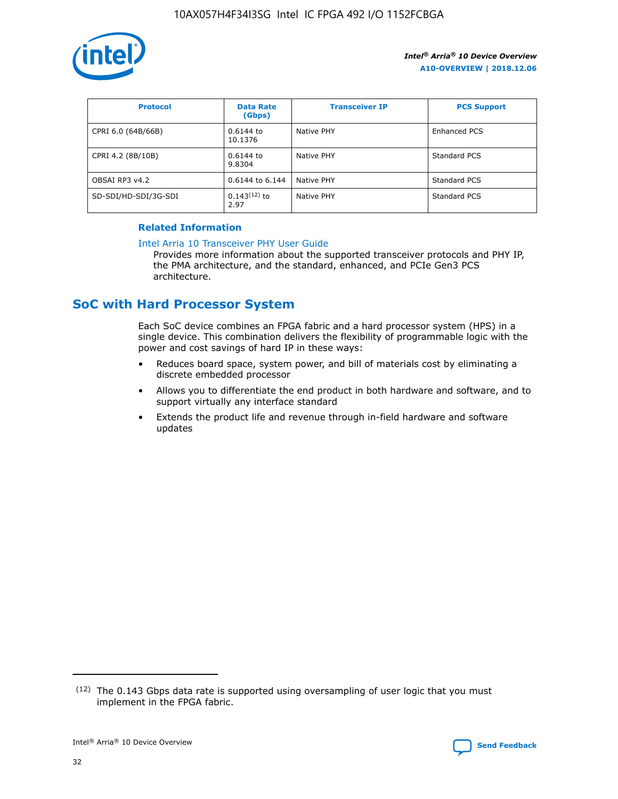

| <b>Protocol</b>      | <b>Data Rate</b><br>(Gbps) | <b>Transceiver IP</b> | <b>PCS Support</b> |
|----------------------|----------------------------|-----------------------|--------------------|
| CPRI 6.0 (64B/66B)   | 0.6144 to<br>10.1376       | Native PHY            | Enhanced PCS       |
| CPRI 4.2 (8B/10B)    | 0.6144 to<br>9.8304        | Native PHY            | Standard PCS       |
| OBSAI RP3 v4.2       | 0.6144 to 6.144            | Native PHY            | Standard PCS       |
| SD-SDI/HD-SDI/3G-SDI | $0.143(12)$ to<br>2.97     | Native PHY            | Standard PCS       |

## **Related Information**

#### [Intel Arria 10 Transceiver PHY User Guide](https://www.intel.com/content/www/us/en/programmable/documentation/nik1398707230472.html#nik1398707091164)

Provides more information about the supported transceiver protocols and PHY IP, the PMA architecture, and the standard, enhanced, and PCIe Gen3 PCS architecture.

# **SoC with Hard Processor System**

Each SoC device combines an FPGA fabric and a hard processor system (HPS) in a single device. This combination delivers the flexibility of programmable logic with the power and cost savings of hard IP in these ways:

- Reduces board space, system power, and bill of materials cost by eliminating a discrete embedded processor
- Allows you to differentiate the end product in both hardware and software, and to support virtually any interface standard
- Extends the product life and revenue through in-field hardware and software updates

 $(12)$  The 0.143 Gbps data rate is supported using oversampling of user logic that you must implement in the FPGA fabric.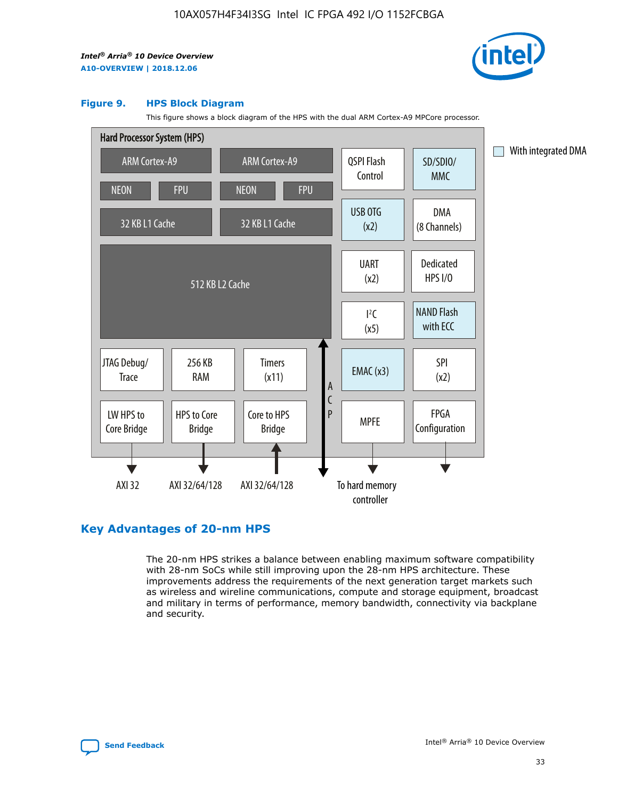

#### **Figure 9. HPS Block Diagram**

This figure shows a block diagram of the HPS with the dual ARM Cortex-A9 MPCore processor.



# **Key Advantages of 20-nm HPS**

The 20-nm HPS strikes a balance between enabling maximum software compatibility with 28-nm SoCs while still improving upon the 28-nm HPS architecture. These improvements address the requirements of the next generation target markets such as wireless and wireline communications, compute and storage equipment, broadcast and military in terms of performance, memory bandwidth, connectivity via backplane and security.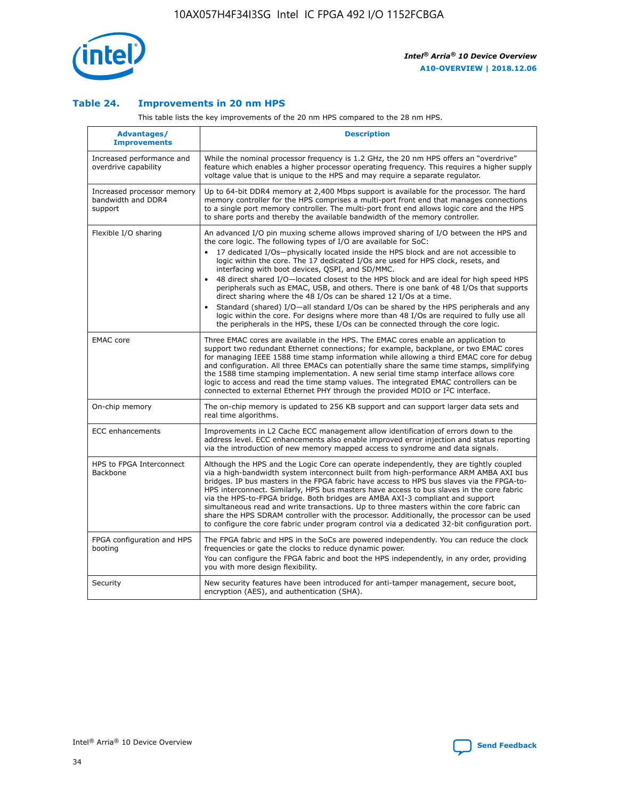

## **Table 24. Improvements in 20 nm HPS**

This table lists the key improvements of the 20 nm HPS compared to the 28 nm HPS.

| Advantages/<br><b>Improvements</b>                          | <b>Description</b>                                                                                                                                                                                                                                                                                                                                                                                                                                                                                                                                                                                                                                                                                                                                                                                                                                                                                                                                |
|-------------------------------------------------------------|---------------------------------------------------------------------------------------------------------------------------------------------------------------------------------------------------------------------------------------------------------------------------------------------------------------------------------------------------------------------------------------------------------------------------------------------------------------------------------------------------------------------------------------------------------------------------------------------------------------------------------------------------------------------------------------------------------------------------------------------------------------------------------------------------------------------------------------------------------------------------------------------------------------------------------------------------|
| Increased performance and<br>overdrive capability           | While the nominal processor frequency is 1.2 GHz, the 20 nm HPS offers an "overdrive"<br>feature which enables a higher processor operating frequency. This requires a higher supply<br>voltage value that is unique to the HPS and may require a separate regulator.                                                                                                                                                                                                                                                                                                                                                                                                                                                                                                                                                                                                                                                                             |
| Increased processor memory<br>bandwidth and DDR4<br>support | Up to 64-bit DDR4 memory at 2,400 Mbps support is available for the processor. The hard<br>memory controller for the HPS comprises a multi-port front end that manages connections<br>to a single port memory controller. The multi-port front end allows logic core and the HPS<br>to share ports and thereby the available bandwidth of the memory controller.                                                                                                                                                                                                                                                                                                                                                                                                                                                                                                                                                                                  |
| Flexible I/O sharing                                        | An advanced I/O pin muxing scheme allows improved sharing of I/O between the HPS and<br>the core logic. The following types of I/O are available for SoC:<br>$\bullet$<br>17 dedicated I/Os-physically located inside the HPS block and are not accessible to<br>logic within the core. The 17 dedicated I/Os are used for HPS clock, resets, and<br>interfacing with boot devices, QSPI, and SD/MMC.<br>48 direct shared I/O-located closest to the HPS block and are ideal for high speed HPS<br>$\bullet$<br>peripherals such as EMAC, USB, and others. There is one bank of 48 I/Os that supports<br>direct sharing where the 48 I/Os can be shared 12 I/Os at a time.<br>Standard (shared) I/O-all standard I/Os can be shared by the HPS peripherals and any<br>logic within the core. For designs where more than 48 I/Os are required to fully use all<br>the peripherals in the HPS, these I/Os can be connected through the core logic. |
| <b>EMAC</b> core                                            | Three EMAC cores are available in the HPS. The EMAC cores enable an application to<br>support two redundant Ethernet connections; for example, backplane, or two EMAC cores<br>for managing IEEE 1588 time stamp information while allowing a third EMAC core for debug<br>and configuration. All three EMACs can potentially share the same time stamps, simplifying<br>the 1588 time stamping implementation. A new serial time stamp interface allows core<br>logic to access and read the time stamp values. The integrated EMAC controllers can be<br>connected to external Ethernet PHY through the provided MDIO or I <sup>2</sup> C interface.                                                                                                                                                                                                                                                                                            |
| On-chip memory                                              | The on-chip memory is updated to 256 KB support and can support larger data sets and<br>real time algorithms.                                                                                                                                                                                                                                                                                                                                                                                                                                                                                                                                                                                                                                                                                                                                                                                                                                     |
| <b>ECC</b> enhancements                                     | Improvements in L2 Cache ECC management allow identification of errors down to the<br>address level. ECC enhancements also enable improved error injection and status reporting<br>via the introduction of new memory mapped access to syndrome and data signals.                                                                                                                                                                                                                                                                                                                                                                                                                                                                                                                                                                                                                                                                                 |
| HPS to FPGA Interconnect<br>Backbone                        | Although the HPS and the Logic Core can operate independently, they are tightly coupled<br>via a high-bandwidth system interconnect built from high-performance ARM AMBA AXI bus<br>bridges. IP bus masters in the FPGA fabric have access to HPS bus slaves via the FPGA-to-<br>HPS interconnect. Similarly, HPS bus masters have access to bus slaves in the core fabric<br>via the HPS-to-FPGA bridge. Both bridges are AMBA AXI-3 compliant and support<br>simultaneous read and write transactions. Up to three masters within the core fabric can<br>share the HPS SDRAM controller with the processor. Additionally, the processor can be used<br>to configure the core fabric under program control via a dedicated 32-bit configuration port.                                                                                                                                                                                            |
| FPGA configuration and HPS<br>booting                       | The FPGA fabric and HPS in the SoCs are powered independently. You can reduce the clock<br>frequencies or gate the clocks to reduce dynamic power.<br>You can configure the FPGA fabric and boot the HPS independently, in any order, providing<br>you with more design flexibility.                                                                                                                                                                                                                                                                                                                                                                                                                                                                                                                                                                                                                                                              |
| Security                                                    | New security features have been introduced for anti-tamper management, secure boot,<br>encryption (AES), and authentication (SHA).                                                                                                                                                                                                                                                                                                                                                                                                                                                                                                                                                                                                                                                                                                                                                                                                                |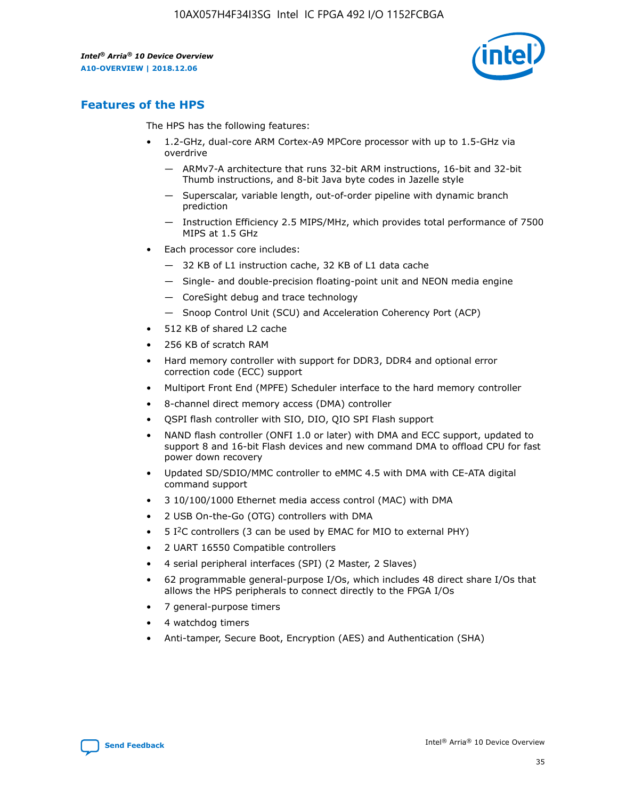

# **Features of the HPS**

The HPS has the following features:

- 1.2-GHz, dual-core ARM Cortex-A9 MPCore processor with up to 1.5-GHz via overdrive
	- ARMv7-A architecture that runs 32-bit ARM instructions, 16-bit and 32-bit Thumb instructions, and 8-bit Java byte codes in Jazelle style
	- Superscalar, variable length, out-of-order pipeline with dynamic branch prediction
	- Instruction Efficiency 2.5 MIPS/MHz, which provides total performance of 7500 MIPS at 1.5 GHz
- Each processor core includes:
	- 32 KB of L1 instruction cache, 32 KB of L1 data cache
	- Single- and double-precision floating-point unit and NEON media engine
	- CoreSight debug and trace technology
	- Snoop Control Unit (SCU) and Acceleration Coherency Port (ACP)
- 512 KB of shared L2 cache
- 256 KB of scratch RAM
- Hard memory controller with support for DDR3, DDR4 and optional error correction code (ECC) support
- Multiport Front End (MPFE) Scheduler interface to the hard memory controller
- 8-channel direct memory access (DMA) controller
- QSPI flash controller with SIO, DIO, QIO SPI Flash support
- NAND flash controller (ONFI 1.0 or later) with DMA and ECC support, updated to support 8 and 16-bit Flash devices and new command DMA to offload CPU for fast power down recovery
- Updated SD/SDIO/MMC controller to eMMC 4.5 with DMA with CE-ATA digital command support
- 3 10/100/1000 Ethernet media access control (MAC) with DMA
- 2 USB On-the-Go (OTG) controllers with DMA
- $\bullet$  5 I<sup>2</sup>C controllers (3 can be used by EMAC for MIO to external PHY)
- 2 UART 16550 Compatible controllers
- 4 serial peripheral interfaces (SPI) (2 Master, 2 Slaves)
- 62 programmable general-purpose I/Os, which includes 48 direct share I/Os that allows the HPS peripherals to connect directly to the FPGA I/Os
- 7 general-purpose timers
- 4 watchdog timers
- Anti-tamper, Secure Boot, Encryption (AES) and Authentication (SHA)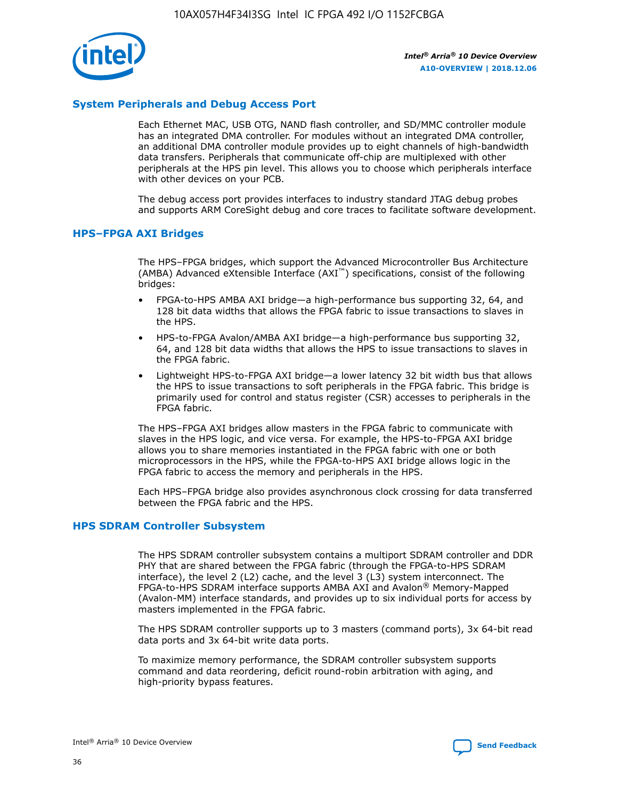

# **System Peripherals and Debug Access Port**

Each Ethernet MAC, USB OTG, NAND flash controller, and SD/MMC controller module has an integrated DMA controller. For modules without an integrated DMA controller, an additional DMA controller module provides up to eight channels of high-bandwidth data transfers. Peripherals that communicate off-chip are multiplexed with other peripherals at the HPS pin level. This allows you to choose which peripherals interface with other devices on your PCB.

The debug access port provides interfaces to industry standard JTAG debug probes and supports ARM CoreSight debug and core traces to facilitate software development.

## **HPS–FPGA AXI Bridges**

The HPS–FPGA bridges, which support the Advanced Microcontroller Bus Architecture (AMBA) Advanced eXtensible Interface (AXI™) specifications, consist of the following bridges:

- FPGA-to-HPS AMBA AXI bridge—a high-performance bus supporting 32, 64, and 128 bit data widths that allows the FPGA fabric to issue transactions to slaves in the HPS.
- HPS-to-FPGA Avalon/AMBA AXI bridge—a high-performance bus supporting 32, 64, and 128 bit data widths that allows the HPS to issue transactions to slaves in the FPGA fabric.
- Lightweight HPS-to-FPGA AXI bridge—a lower latency 32 bit width bus that allows the HPS to issue transactions to soft peripherals in the FPGA fabric. This bridge is primarily used for control and status register (CSR) accesses to peripherals in the FPGA fabric.

The HPS–FPGA AXI bridges allow masters in the FPGA fabric to communicate with slaves in the HPS logic, and vice versa. For example, the HPS-to-FPGA AXI bridge allows you to share memories instantiated in the FPGA fabric with one or both microprocessors in the HPS, while the FPGA-to-HPS AXI bridge allows logic in the FPGA fabric to access the memory and peripherals in the HPS.

Each HPS–FPGA bridge also provides asynchronous clock crossing for data transferred between the FPGA fabric and the HPS.

#### **HPS SDRAM Controller Subsystem**

The HPS SDRAM controller subsystem contains a multiport SDRAM controller and DDR PHY that are shared between the FPGA fabric (through the FPGA-to-HPS SDRAM interface), the level 2 (L2) cache, and the level 3 (L3) system interconnect. The FPGA-to-HPS SDRAM interface supports AMBA AXI and Avalon® Memory-Mapped (Avalon-MM) interface standards, and provides up to six individual ports for access by masters implemented in the FPGA fabric.

The HPS SDRAM controller supports up to 3 masters (command ports), 3x 64-bit read data ports and 3x 64-bit write data ports.

To maximize memory performance, the SDRAM controller subsystem supports command and data reordering, deficit round-robin arbitration with aging, and high-priority bypass features.

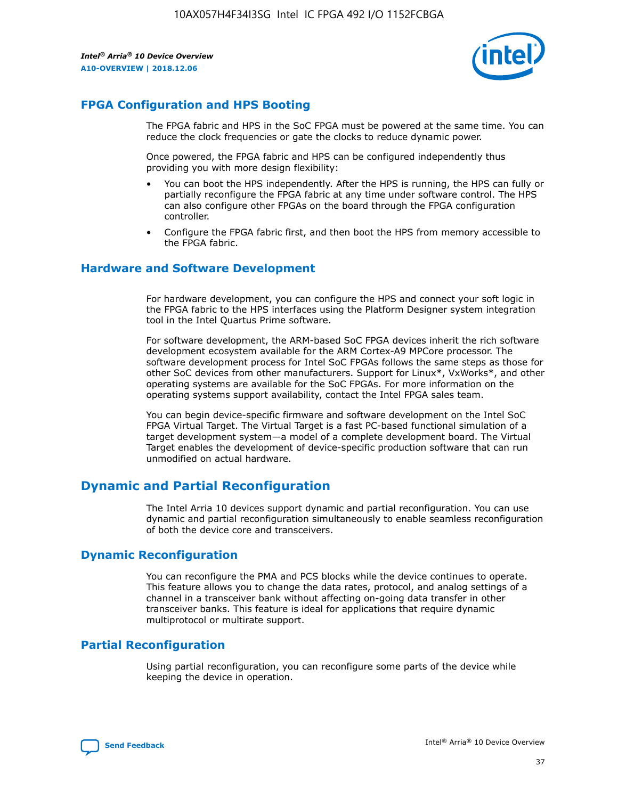

# **FPGA Configuration and HPS Booting**

The FPGA fabric and HPS in the SoC FPGA must be powered at the same time. You can reduce the clock frequencies or gate the clocks to reduce dynamic power.

Once powered, the FPGA fabric and HPS can be configured independently thus providing you with more design flexibility:

- You can boot the HPS independently. After the HPS is running, the HPS can fully or partially reconfigure the FPGA fabric at any time under software control. The HPS can also configure other FPGAs on the board through the FPGA configuration controller.
- Configure the FPGA fabric first, and then boot the HPS from memory accessible to the FPGA fabric.

## **Hardware and Software Development**

For hardware development, you can configure the HPS and connect your soft logic in the FPGA fabric to the HPS interfaces using the Platform Designer system integration tool in the Intel Quartus Prime software.

For software development, the ARM-based SoC FPGA devices inherit the rich software development ecosystem available for the ARM Cortex-A9 MPCore processor. The software development process for Intel SoC FPGAs follows the same steps as those for other SoC devices from other manufacturers. Support for Linux\*, VxWorks\*, and other operating systems are available for the SoC FPGAs. For more information on the operating systems support availability, contact the Intel FPGA sales team.

You can begin device-specific firmware and software development on the Intel SoC FPGA Virtual Target. The Virtual Target is a fast PC-based functional simulation of a target development system—a model of a complete development board. The Virtual Target enables the development of device-specific production software that can run unmodified on actual hardware.

# **Dynamic and Partial Reconfiguration**

The Intel Arria 10 devices support dynamic and partial reconfiguration. You can use dynamic and partial reconfiguration simultaneously to enable seamless reconfiguration of both the device core and transceivers.

# **Dynamic Reconfiguration**

You can reconfigure the PMA and PCS blocks while the device continues to operate. This feature allows you to change the data rates, protocol, and analog settings of a channel in a transceiver bank without affecting on-going data transfer in other transceiver banks. This feature is ideal for applications that require dynamic multiprotocol or multirate support.

# **Partial Reconfiguration**

Using partial reconfiguration, you can reconfigure some parts of the device while keeping the device in operation.

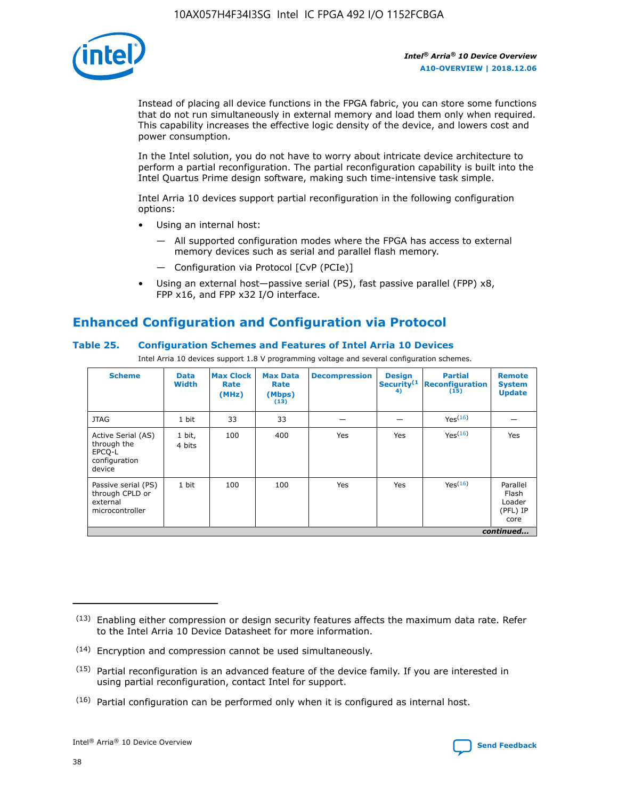

Instead of placing all device functions in the FPGA fabric, you can store some functions that do not run simultaneously in external memory and load them only when required. This capability increases the effective logic density of the device, and lowers cost and power consumption.

In the Intel solution, you do not have to worry about intricate device architecture to perform a partial reconfiguration. The partial reconfiguration capability is built into the Intel Quartus Prime design software, making such time-intensive task simple.

Intel Arria 10 devices support partial reconfiguration in the following configuration options:

- Using an internal host:
	- All supported configuration modes where the FPGA has access to external memory devices such as serial and parallel flash memory.
	- Configuration via Protocol [CvP (PCIe)]
- Using an external host—passive serial (PS), fast passive parallel (FPP) x8, FPP x16, and FPP x32 I/O interface.

# **Enhanced Configuration and Configuration via Protocol**

# **Table 25. Configuration Schemes and Features of Intel Arria 10 Devices**

Intel Arria 10 devices support 1.8 V programming voltage and several configuration schemes.

| <b>Scheme</b>                                                          | <b>Data</b><br><b>Width</b> | <b>Max Clock</b><br>Rate<br>(MHz) | <b>Max Data</b><br>Rate<br>(Mbps)<br>(13) | <b>Decompression</b> | <b>Design</b><br>Security <sup>(1</sup><br>4) | <b>Partial</b><br>Reconfiguration<br>(15) | <b>Remote</b><br><b>System</b><br><b>Update</b> |
|------------------------------------------------------------------------|-----------------------------|-----------------------------------|-------------------------------------------|----------------------|-----------------------------------------------|-------------------------------------------|-------------------------------------------------|
| <b>JTAG</b>                                                            | 1 bit                       | 33                                | 33                                        |                      |                                               | Yes(16)                                   |                                                 |
| Active Serial (AS)<br>through the<br>EPCO-L<br>configuration<br>device | 1 bit,<br>4 bits            | 100                               | 400                                       | Yes                  | Yes                                           | Yes(16)                                   | Yes                                             |
| Passive serial (PS)<br>through CPLD or<br>external<br>microcontroller  | 1 bit                       | 100                               | 100                                       | Yes                  | Yes                                           | Yes <sup>(16)</sup>                       | Parallel<br>Flash<br>Loader<br>(PFL) IP<br>core |
|                                                                        |                             |                                   |                                           |                      |                                               |                                           | continued                                       |

<sup>(13)</sup> Enabling either compression or design security features affects the maximum data rate. Refer to the Intel Arria 10 Device Datasheet for more information.

<sup>(14)</sup> Encryption and compression cannot be used simultaneously.

 $(15)$  Partial reconfiguration is an advanced feature of the device family. If you are interested in using partial reconfiguration, contact Intel for support.

 $(16)$  Partial configuration can be performed only when it is configured as internal host.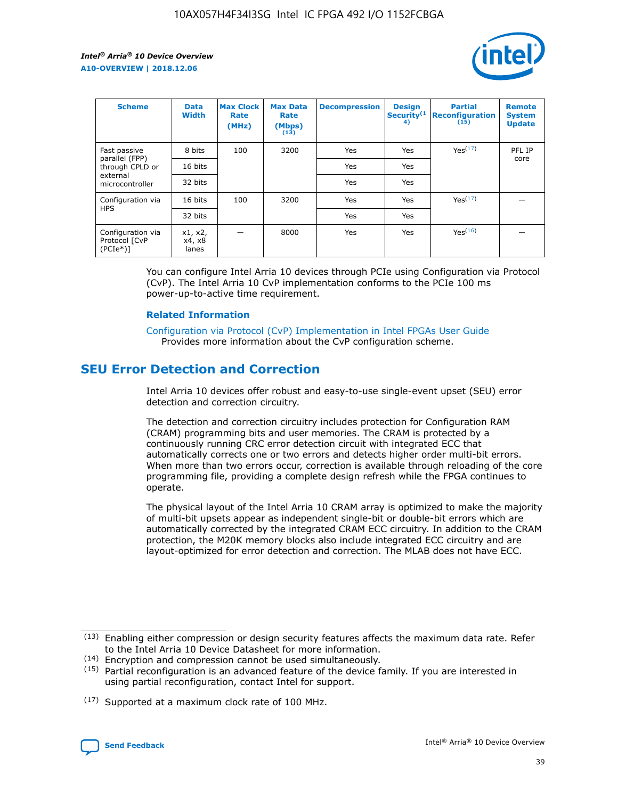

| <b>Scheme</b>                                    | <b>Data</b><br><b>Width</b> | <b>Max Clock</b><br>Rate<br>(MHz) | <b>Max Data</b><br>Rate<br>(Mbps)<br>(13) | <b>Decompression</b> | <b>Design</b><br>Security <sup>(1</sup><br>4) | <b>Partial</b><br><b>Reconfiguration</b><br>(15) | <b>Remote</b><br><b>System</b><br><b>Update</b> |
|--------------------------------------------------|-----------------------------|-----------------------------------|-------------------------------------------|----------------------|-----------------------------------------------|--------------------------------------------------|-------------------------------------------------|
| Fast passive                                     | 8 bits                      | 100                               | 3200                                      | Yes                  | Yes                                           | Yes <sup>(17)</sup>                              | PFL IP                                          |
| parallel (FPP)<br>through CPLD or                | 16 bits                     |                                   |                                           | Yes                  | Yes                                           |                                                  | core                                            |
| external<br>microcontroller                      | 32 bits                     |                                   |                                           | Yes                  | Yes                                           |                                                  |                                                 |
| Configuration via                                | 16 bits                     | 100                               | 3200                                      | Yes                  | Yes                                           | Yes <sup>(17)</sup>                              |                                                 |
| <b>HPS</b>                                       | 32 bits                     |                                   |                                           | Yes                  | Yes                                           |                                                  |                                                 |
| Configuration via<br>Protocol [CvP<br>$(PCIe^*)$ | x1, x2,<br>x4, x8<br>lanes  |                                   | 8000                                      | Yes                  | Yes                                           | Yes <sup>(16)</sup>                              |                                                 |

You can configure Intel Arria 10 devices through PCIe using Configuration via Protocol (CvP). The Intel Arria 10 CvP implementation conforms to the PCIe 100 ms power-up-to-active time requirement.

#### **Related Information**

[Configuration via Protocol \(CvP\) Implementation in Intel FPGAs User Guide](https://www.intel.com/content/www/us/en/programmable/documentation/dsu1441819344145.html#dsu1442269728522) Provides more information about the CvP configuration scheme.

# **SEU Error Detection and Correction**

Intel Arria 10 devices offer robust and easy-to-use single-event upset (SEU) error detection and correction circuitry.

The detection and correction circuitry includes protection for Configuration RAM (CRAM) programming bits and user memories. The CRAM is protected by a continuously running CRC error detection circuit with integrated ECC that automatically corrects one or two errors and detects higher order multi-bit errors. When more than two errors occur, correction is available through reloading of the core programming file, providing a complete design refresh while the FPGA continues to operate.

The physical layout of the Intel Arria 10 CRAM array is optimized to make the majority of multi-bit upsets appear as independent single-bit or double-bit errors which are automatically corrected by the integrated CRAM ECC circuitry. In addition to the CRAM protection, the M20K memory blocks also include integrated ECC circuitry and are layout-optimized for error detection and correction. The MLAB does not have ECC.

(14) Encryption and compression cannot be used simultaneously.

<sup>(17)</sup> Supported at a maximum clock rate of 100 MHz.



 $(13)$  Enabling either compression or design security features affects the maximum data rate. Refer to the Intel Arria 10 Device Datasheet for more information.

 $(15)$  Partial reconfiguration is an advanced feature of the device family. If you are interested in using partial reconfiguration, contact Intel for support.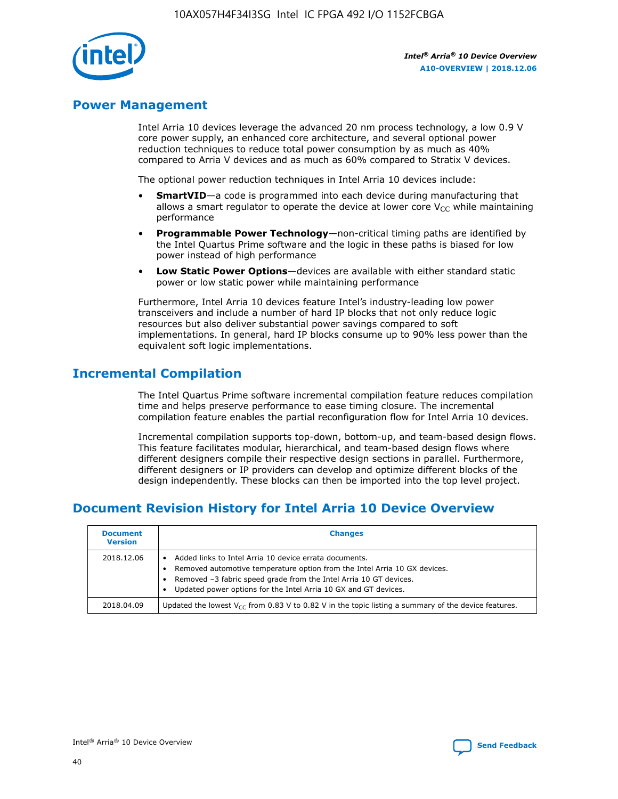

# **Power Management**

Intel Arria 10 devices leverage the advanced 20 nm process technology, a low 0.9 V core power supply, an enhanced core architecture, and several optional power reduction techniques to reduce total power consumption by as much as 40% compared to Arria V devices and as much as 60% compared to Stratix V devices.

The optional power reduction techniques in Intel Arria 10 devices include:

- **SmartVID**—a code is programmed into each device during manufacturing that allows a smart regulator to operate the device at lower core  $V_{CC}$  while maintaining performance
- **Programmable Power Technology**—non-critical timing paths are identified by the Intel Quartus Prime software and the logic in these paths is biased for low power instead of high performance
- **Low Static Power Options**—devices are available with either standard static power or low static power while maintaining performance

Furthermore, Intel Arria 10 devices feature Intel's industry-leading low power transceivers and include a number of hard IP blocks that not only reduce logic resources but also deliver substantial power savings compared to soft implementations. In general, hard IP blocks consume up to 90% less power than the equivalent soft logic implementations.

# **Incremental Compilation**

The Intel Quartus Prime software incremental compilation feature reduces compilation time and helps preserve performance to ease timing closure. The incremental compilation feature enables the partial reconfiguration flow for Intel Arria 10 devices.

Incremental compilation supports top-down, bottom-up, and team-based design flows. This feature facilitates modular, hierarchical, and team-based design flows where different designers compile their respective design sections in parallel. Furthermore, different designers or IP providers can develop and optimize different blocks of the design independently. These blocks can then be imported into the top level project.

# **Document Revision History for Intel Arria 10 Device Overview**

| <b>Document</b><br><b>Version</b> | <b>Changes</b>                                                                                                                                                                                                                                                              |
|-----------------------------------|-----------------------------------------------------------------------------------------------------------------------------------------------------------------------------------------------------------------------------------------------------------------------------|
| 2018.12.06                        | Added links to Intel Arria 10 device errata documents.<br>Removed automotive temperature option from the Intel Arria 10 GX devices.<br>Removed -3 fabric speed grade from the Intel Arria 10 GT devices.<br>Updated power options for the Intel Arria 10 GX and GT devices. |
| 2018.04.09                        | Updated the lowest $V_{CC}$ from 0.83 V to 0.82 V in the topic listing a summary of the device features.                                                                                                                                                                    |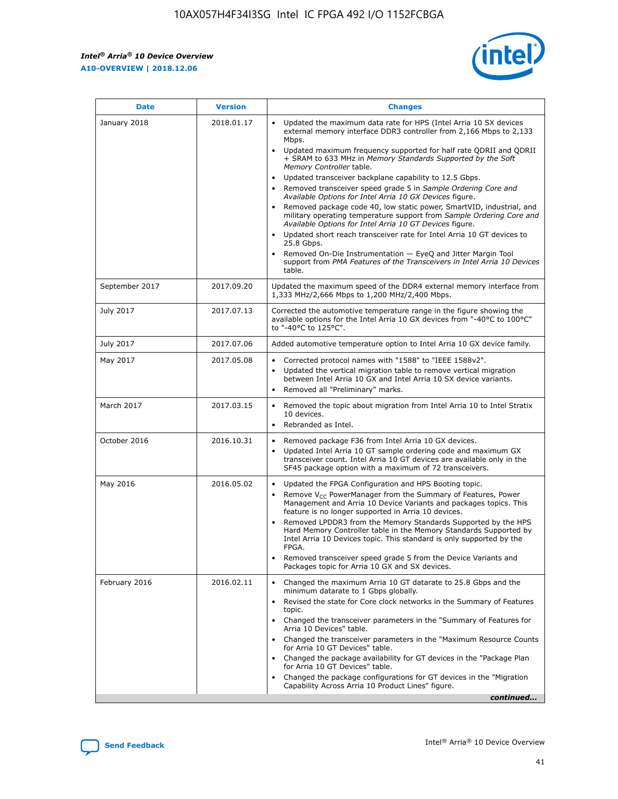*Intel® Arria® 10 Device Overview* **A10-OVERVIEW | 2018.12.06**



| <b>Date</b>    | <b>Version</b> | <b>Changes</b>                                                                                                                                                                                                                                                                                                                                                                                                                                                                                                                                                                                                                                                                                                                                                                                                                                                                                                                                                            |
|----------------|----------------|---------------------------------------------------------------------------------------------------------------------------------------------------------------------------------------------------------------------------------------------------------------------------------------------------------------------------------------------------------------------------------------------------------------------------------------------------------------------------------------------------------------------------------------------------------------------------------------------------------------------------------------------------------------------------------------------------------------------------------------------------------------------------------------------------------------------------------------------------------------------------------------------------------------------------------------------------------------------------|
| January 2018   | 2018.01.17     | Updated the maximum data rate for HPS (Intel Arria 10 SX devices<br>external memory interface DDR3 controller from 2,166 Mbps to 2,133<br>Mbps.<br>Updated maximum frequency supported for half rate QDRII and QDRII<br>+ SRAM to 633 MHz in Memory Standards Supported by the Soft<br>Memory Controller table.<br>Updated transceiver backplane capability to 12.5 Gbps.<br>$\bullet$<br>Removed transceiver speed grade 5 in Sample Ordering Core and<br>Available Options for Intel Arria 10 GX Devices figure.<br>Removed package code 40, low static power, SmartVID, industrial, and<br>military operating temperature support from Sample Ordering Core and<br>Available Options for Intel Arria 10 GT Devices figure.<br>Updated short reach transceiver rate for Intel Arria 10 GT devices to<br>25.8 Gbps.<br>Removed On-Die Instrumentation - EyeQ and Jitter Margin Tool<br>support from PMA Features of the Transceivers in Intel Arria 10 Devices<br>table. |
| September 2017 | 2017.09.20     | Updated the maximum speed of the DDR4 external memory interface from<br>1,333 MHz/2,666 Mbps to 1,200 MHz/2,400 Mbps.                                                                                                                                                                                                                                                                                                                                                                                                                                                                                                                                                                                                                                                                                                                                                                                                                                                     |
| July 2017      | 2017.07.13     | Corrected the automotive temperature range in the figure showing the<br>available options for the Intel Arria 10 GX devices from "-40°C to 100°C"<br>to "-40°C to 125°C".                                                                                                                                                                                                                                                                                                                                                                                                                                                                                                                                                                                                                                                                                                                                                                                                 |
| July 2017      | 2017.07.06     | Added automotive temperature option to Intel Arria 10 GX device family.                                                                                                                                                                                                                                                                                                                                                                                                                                                                                                                                                                                                                                                                                                                                                                                                                                                                                                   |
| May 2017       | 2017.05.08     | Corrected protocol names with "1588" to "IEEE 1588v2".<br>$\bullet$<br>Updated the vertical migration table to remove vertical migration<br>$\bullet$<br>between Intel Arria 10 GX and Intel Arria 10 SX device variants.<br>Removed all "Preliminary" marks.<br>$\bullet$                                                                                                                                                                                                                                                                                                                                                                                                                                                                                                                                                                                                                                                                                                |
| March 2017     | 2017.03.15     | Removed the topic about migration from Intel Arria 10 to Intel Stratix<br>10 devices.<br>Rebranded as Intel.<br>$\bullet$                                                                                                                                                                                                                                                                                                                                                                                                                                                                                                                                                                                                                                                                                                                                                                                                                                                 |
| October 2016   | 2016.10.31     | Removed package F36 from Intel Arria 10 GX devices.<br>Updated Intel Arria 10 GT sample ordering code and maximum GX<br>$\bullet$<br>transceiver count. Intel Arria 10 GT devices are available only in the<br>SF45 package option with a maximum of 72 transceivers.                                                                                                                                                                                                                                                                                                                                                                                                                                                                                                                                                                                                                                                                                                     |
| May 2016       | 2016.05.02     | Updated the FPGA Configuration and HPS Booting topic.<br>$\bullet$<br>Remove V <sub>CC</sub> PowerManager from the Summary of Features, Power<br>Management and Arria 10 Device Variants and packages topics. This<br>feature is no longer supported in Arria 10 devices.<br>Removed LPDDR3 from the Memory Standards Supported by the HPS<br>Hard Memory Controller table in the Memory Standards Supported by<br>Intel Arria 10 Devices topic. This standard is only supported by the<br>FPGA.<br>Removed transceiver speed grade 5 from the Device Variants and<br>Packages topic for Arria 10 GX and SX devices.                                                                                                                                                                                                                                                                                                                                                      |
| February 2016  | 2016.02.11     | Changed the maximum Arria 10 GT datarate to 25.8 Gbps and the<br>minimum datarate to 1 Gbps globally.<br>Revised the state for Core clock networks in the Summary of Features<br>$\bullet$<br>topic.<br>Changed the transceiver parameters in the "Summary of Features for<br>$\bullet$<br>Arria 10 Devices" table.<br>• Changed the transceiver parameters in the "Maximum Resource Counts<br>for Arria 10 GT Devices" table.<br>Changed the package availability for GT devices in the "Package Plan<br>for Arria 10 GT Devices" table.<br>Changed the package configurations for GT devices in the "Migration"<br>Capability Across Arria 10 Product Lines" figure.<br>continued                                                                                                                                                                                                                                                                                       |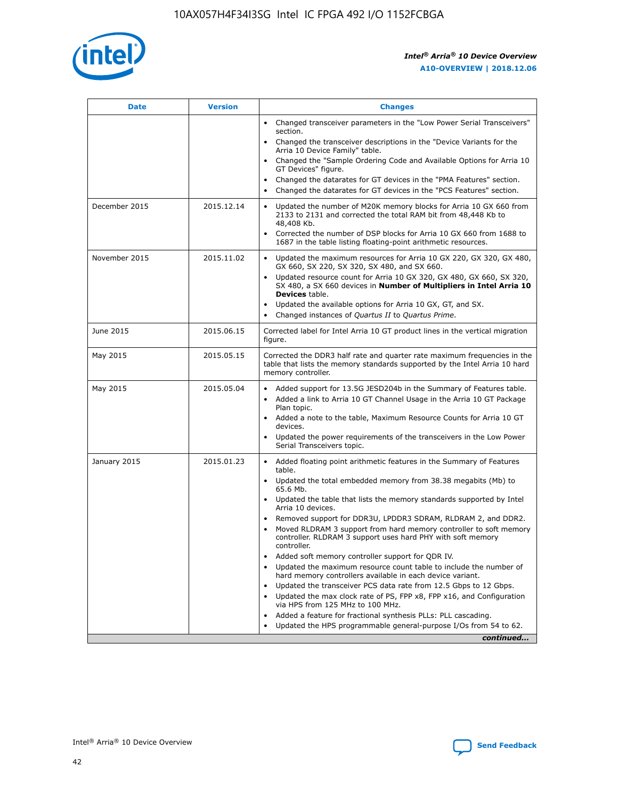

| <b>Date</b>   | <b>Version</b> | <b>Changes</b>                                                                                                                                                               |
|---------------|----------------|------------------------------------------------------------------------------------------------------------------------------------------------------------------------------|
|               |                | • Changed transceiver parameters in the "Low Power Serial Transceivers"<br>section.                                                                                          |
|               |                | • Changed the transceiver descriptions in the "Device Variants for the<br>Arria 10 Device Family" table.                                                                     |
|               |                | Changed the "Sample Ordering Code and Available Options for Arria 10<br>$\bullet$<br>GT Devices" figure.                                                                     |
|               |                | Changed the datarates for GT devices in the "PMA Features" section.                                                                                                          |
|               |                | Changed the datarates for GT devices in the "PCS Features" section.<br>$\bullet$                                                                                             |
| December 2015 | 2015.12.14     | Updated the number of M20K memory blocks for Arria 10 GX 660 from<br>2133 to 2131 and corrected the total RAM bit from 48,448 Kb to<br>48,408 Kb.                            |
|               |                | Corrected the number of DSP blocks for Arria 10 GX 660 from 1688 to<br>1687 in the table listing floating-point arithmetic resources.                                        |
| November 2015 | 2015.11.02     | Updated the maximum resources for Arria 10 GX 220, GX 320, GX 480,<br>$\bullet$<br>GX 660, SX 220, SX 320, SX 480, and SX 660.                                               |
|               |                | • Updated resource count for Arria 10 GX 320, GX 480, GX 660, SX 320,<br>SX 480, a SX 660 devices in Number of Multipliers in Intel Arria 10<br><b>Devices</b> table.        |
|               |                | Updated the available options for Arria 10 GX, GT, and SX.                                                                                                                   |
|               |                | Changed instances of Quartus II to Quartus Prime.<br>$\bullet$                                                                                                               |
| June 2015     | 2015.06.15     | Corrected label for Intel Arria 10 GT product lines in the vertical migration<br>figure.                                                                                     |
| May 2015      | 2015.05.15     | Corrected the DDR3 half rate and quarter rate maximum frequencies in the<br>table that lists the memory standards supported by the Intel Arria 10 hard<br>memory controller. |
| May 2015      | 2015.05.04     | • Added support for 13.5G JESD204b in the Summary of Features table.                                                                                                         |
|               |                | • Added a link to Arria 10 GT Channel Usage in the Arria 10 GT Package<br>Plan topic.                                                                                        |
|               |                | • Added a note to the table, Maximum Resource Counts for Arria 10 GT<br>devices.                                                                                             |
|               |                | • Updated the power requirements of the transceivers in the Low Power<br>Serial Transceivers topic.                                                                          |
| January 2015  | 2015.01.23     | • Added floating point arithmetic features in the Summary of Features<br>table.                                                                                              |
|               |                | • Updated the total embedded memory from 38.38 megabits (Mb) to<br>65.6 Mb.                                                                                                  |
|               |                | • Updated the table that lists the memory standards supported by Intel<br>Arria 10 devices.                                                                                  |
|               |                | Removed support for DDR3U, LPDDR3 SDRAM, RLDRAM 2, and DDR2.                                                                                                                 |
|               |                | Moved RLDRAM 3 support from hard memory controller to soft memory<br>controller. RLDRAM 3 support uses hard PHY with soft memory<br>controller.                              |
|               |                | Added soft memory controller support for QDR IV.<br>٠                                                                                                                        |
|               |                | Updated the maximum resource count table to include the number of<br>hard memory controllers available in each device variant.                                               |
|               |                | Updated the transceiver PCS data rate from 12.5 Gbps to 12 Gbps.<br>$\bullet$                                                                                                |
|               |                | Updated the max clock rate of PS, FPP x8, FPP x16, and Configuration<br>via HPS from 125 MHz to 100 MHz.                                                                     |
|               |                | Added a feature for fractional synthesis PLLs: PLL cascading.                                                                                                                |
|               |                | Updated the HPS programmable general-purpose I/Os from 54 to 62.<br>$\bullet$                                                                                                |
|               |                | continued                                                                                                                                                                    |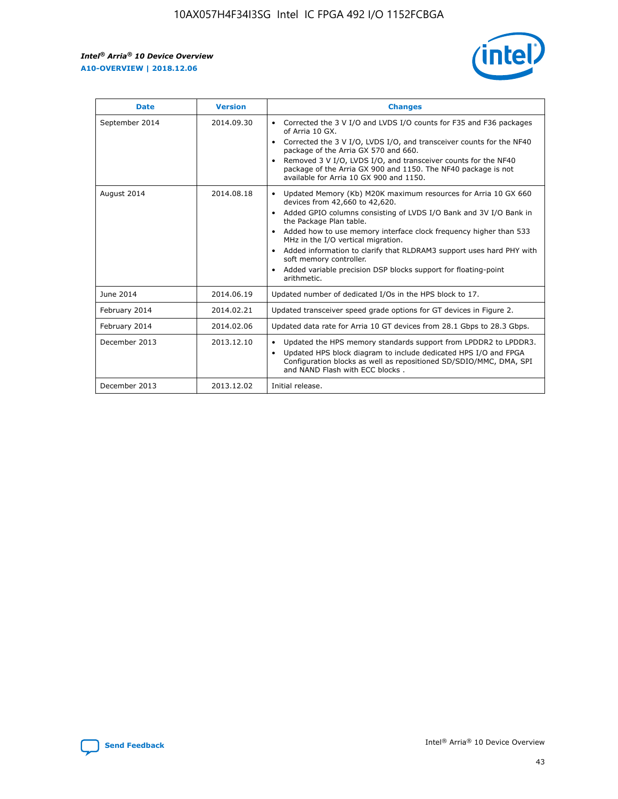r



| <b>Date</b>    | <b>Version</b> | <b>Changes</b>                                                                                                                                                                                                                                                                                                                                                                                                                                                                                                                         |
|----------------|----------------|----------------------------------------------------------------------------------------------------------------------------------------------------------------------------------------------------------------------------------------------------------------------------------------------------------------------------------------------------------------------------------------------------------------------------------------------------------------------------------------------------------------------------------------|
| September 2014 | 2014.09.30     | Corrected the 3 V I/O and LVDS I/O counts for F35 and F36 packages<br>of Arria 10 GX.<br>Corrected the 3 V I/O, LVDS I/O, and transceiver counts for the NF40<br>$\bullet$<br>package of the Arria GX 570 and 660.<br>Removed 3 V I/O, LVDS I/O, and transceiver counts for the NF40<br>package of the Arria GX 900 and 1150. The NF40 package is not<br>available for Arria 10 GX 900 and 1150.                                                                                                                                       |
| August 2014    | 2014.08.18     | Updated Memory (Kb) M20K maximum resources for Arria 10 GX 660<br>devices from 42,660 to 42,620.<br>Added GPIO columns consisting of LVDS I/O Bank and 3V I/O Bank in<br>$\bullet$<br>the Package Plan table.<br>Added how to use memory interface clock frequency higher than 533<br>$\bullet$<br>MHz in the I/O vertical migration.<br>Added information to clarify that RLDRAM3 support uses hard PHY with<br>$\bullet$<br>soft memory controller.<br>Added variable precision DSP blocks support for floating-point<br>arithmetic. |
| June 2014      | 2014.06.19     | Updated number of dedicated I/Os in the HPS block to 17.                                                                                                                                                                                                                                                                                                                                                                                                                                                                               |
| February 2014  | 2014.02.21     | Updated transceiver speed grade options for GT devices in Figure 2.                                                                                                                                                                                                                                                                                                                                                                                                                                                                    |
| February 2014  | 2014.02.06     | Updated data rate for Arria 10 GT devices from 28.1 Gbps to 28.3 Gbps.                                                                                                                                                                                                                                                                                                                                                                                                                                                                 |
| December 2013  | 2013.12.10     | Updated the HPS memory standards support from LPDDR2 to LPDDR3.<br>Updated HPS block diagram to include dedicated HPS I/O and FPGA<br>$\bullet$<br>Configuration blocks as well as repositioned SD/SDIO/MMC, DMA, SPI<br>and NAND Flash with ECC blocks.                                                                                                                                                                                                                                                                               |
| December 2013  | 2013.12.02     | Initial release.                                                                                                                                                                                                                                                                                                                                                                                                                                                                                                                       |